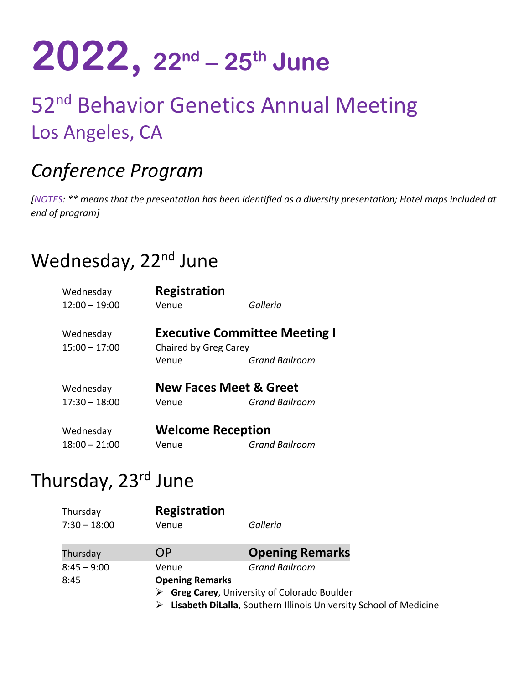# **2022, 22nd – 25th June**

# 52<sup>nd</sup> Behavior Genetics Annual Meeting Los Angeles, CA

# *Conference Program*

*[NOTES: \*\* means that the presentation has been identified as a diversity presentation; Hotel maps included at end of program]* 

## Wednesday, 22<sup>nd</sup> June

| Wednesday                    | Registration                   |                                                               |
|------------------------------|--------------------------------|---------------------------------------------------------------|
| $12:00 - 19:00$              | Venue                          | Galleria                                                      |
| Wednesday<br>$15:00 - 17:00$ | Chaired by Greg Carey<br>Venue | <b>Executive Committee Meeting I</b><br><b>Grand Ballroom</b> |
| Wednesday                    |                                | <b>New Faces Meet &amp; Greet</b>                             |
| $17:30 - 18:00$              | Venue                          | <b>Grand Ballroom</b>                                         |
| Wednesday                    | <b>Welcome Reception</b>       |                                                               |
| $18:00 - 21:00$              | Venue                          | <b>Grand Ballroom</b>                                         |

### Thursday, 23rd June

| Thursday       | <b>Registration</b>    |                                                                   |
|----------------|------------------------|-------------------------------------------------------------------|
| $7:30 - 18:00$ | Venue                  | Galleria                                                          |
| Thursday       | OΡ                     | <b>Opening Remarks</b>                                            |
| $8:45 - 9:00$  | Venue                  | <b>Grand Ballroom</b>                                             |
| 8:45           | <b>Opening Remarks</b> |                                                                   |
|                |                        | <b>Greg Carey, University of Colorado Boulder</b>                 |
|                |                        | Lisabeth DiLalla, Southern Illinois University School of Medicine |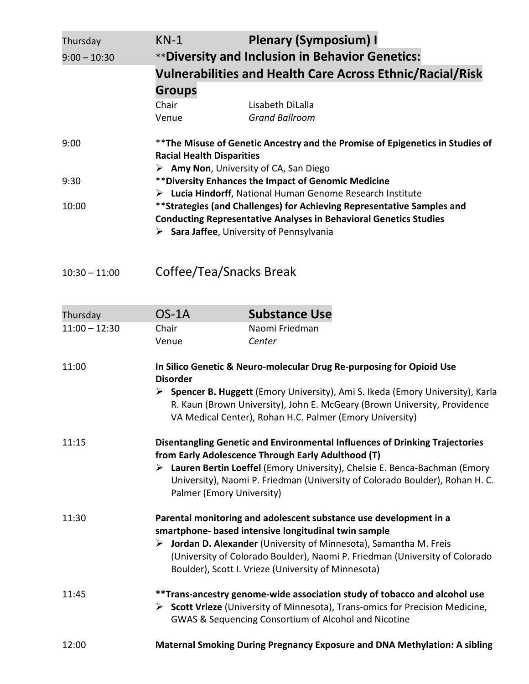| Thursday                    | $KN-1$                                                                                  | <b>Plenary (Symposium) I</b>                                                                                                                                                                                             |  |
|-----------------------------|-----------------------------------------------------------------------------------------|--------------------------------------------------------------------------------------------------------------------------------------------------------------------------------------------------------------------------|--|
| $9:00 - 10:30$              |                                                                                         | **Diversity and Inclusion in Behavior Genetics:                                                                                                                                                                          |  |
|                             |                                                                                         | <b>Vulnerabilities and Health Care Across Ethnic/Racial/Risk</b>                                                                                                                                                         |  |
|                             | <b>Groups</b>                                                                           |                                                                                                                                                                                                                          |  |
|                             | Chair<br>Venue                                                                          | Lisabeth DiLalla<br><b>Grand Ballroom</b>                                                                                                                                                                                |  |
| 9:00                        | <b>Racial Health Disparities</b>                                                        | ** The Misuse of Genetic Ancestry and the Promise of Epigenetics in Studies of                                                                                                                                           |  |
|                             |                                                                                         | > Amy Non, University of CA, San Diego                                                                                                                                                                                   |  |
| 9:30                        |                                                                                         | ** Diversity Enhances the Impact of Genomic Medicine                                                                                                                                                                     |  |
|                             |                                                                                         | > Lucia Hindorff, National Human Genome Research Institute                                                                                                                                                               |  |
| 10:00                       |                                                                                         | **Strategies (and Challenges) for Achieving Representative Samples and                                                                                                                                                   |  |
|                             | <b>Conducting Representative Analyses in Behavioral Genetics Studies</b>                |                                                                                                                                                                                                                          |  |
|                             |                                                                                         | $\triangleright$ Sara Jaffee, University of Pennsylvania                                                                                                                                                                 |  |
| $10:30 - 11:00$             |                                                                                         | Coffee/Tea/Snacks Break                                                                                                                                                                                                  |  |
|                             | $OS-1A$                                                                                 | <b>Substance Use</b>                                                                                                                                                                                                     |  |
| Thursday<br>$11:00 - 12:30$ | Chair                                                                                   | Naomi Friedman                                                                                                                                                                                                           |  |
|                             | Venue                                                                                   | Center                                                                                                                                                                                                                   |  |
|                             |                                                                                         |                                                                                                                                                                                                                          |  |
| 11:00                       | In Silico Genetic & Neuro-molecular Drug Re-purposing for Opioid Use<br><b>Disorder</b> |                                                                                                                                                                                                                          |  |
|                             |                                                                                         | ▶ Spencer B. Huggett (Emory University), Ami S. Ikeda (Emory University), Karla<br>R. Kaun (Brown University), John E. McGeary (Brown University, Providence<br>VA Medical Center), Rohan H.C. Palmer (Emory University) |  |

| 11:15 | Disentangling Genetic and Environmental Influences of Drinking Trajectories |
|-------|-----------------------------------------------------------------------------|
|       | from Early Adolescence Through Early Adulthood (T)                          |

#### **Lauren Bertin Loeffel** (Emory University), Chelsie E. Benca-Bachman (Emory University), Naomi P. Friedman (University of Colorado Boulder), Rohan H. C. Palmer (Emory University)

#### 11:30 **Parental monitoring and adolescent substance use development in a smartphone- based intensive longitudinal twin sample Jordan D. Alexander** (University of Minnesota), Samantha M. Freis

#### (University of Colorado Boulder), Naomi P. Friedman (University of Colorado Boulder), Scott I. Vrieze (University of Minnesota)

| 11:45 | **Trans-ancestry genome-wide association study of tobacco and alcohol use                    |
|-------|----------------------------------------------------------------------------------------------|
|       | $\triangleright$ Scott Vrieze (University of Minnesota), Trans-omics for Precision Medicine, |
|       | <b>GWAS &amp; Sequencing Consortium of Alcohol and Nicotine</b>                              |

| 12:00 | <b>Maternal Smoking During Pregnancy Exposure and DNA Methylation: A sibling</b> |
|-------|----------------------------------------------------------------------------------|
|-------|----------------------------------------------------------------------------------|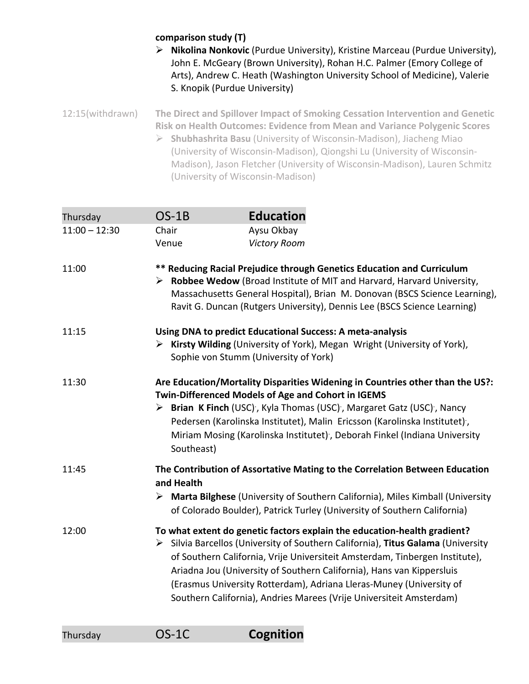#### **comparison study (T)**

 **Nikolina Nonkovic** (Purdue University), Kristine Marceau (Purdue University), John E. McGeary (Brown University), Rohan H.C. Palmer (Emory College of Arts), Andrew C. Heath (Washington University School of Medicine), Valerie S. Knopik (Purdue University)

12:15(withdrawn) **The Direct and Spillover Impact of Smoking Cessation Intervention and Genetic Risk on Health Outcomes: Evidence from Mean and Variance Polygenic Scores Shubhashrita Basu** (University of Wisconsin-Madison), Jiacheng Miao (University of Wisconsin-Madison), Qiongshi Lu (University of Wisconsin-Madison), Jason Fletcher (University of Wisconsin-Madison), Lauren Schmitz

(University of Wisconsin-Madison)

| Thursday        | $OS-1B$    | <b>Education</b>                                                                                                                                                                                                                                                                                                                                                                                                                                                                  |
|-----------------|------------|-----------------------------------------------------------------------------------------------------------------------------------------------------------------------------------------------------------------------------------------------------------------------------------------------------------------------------------------------------------------------------------------------------------------------------------------------------------------------------------|
| $11:00 - 12:30$ | Chair      | Aysu Okbay                                                                                                                                                                                                                                                                                                                                                                                                                                                                        |
|                 | Venue      | <b>Victory Room</b>                                                                                                                                                                                                                                                                                                                                                                                                                                                               |
| 11:00           |            | ** Reducing Racial Prejudice through Genetics Education and Curriculum<br>> Robbee Wedow (Broad Institute of MIT and Harvard, Harvard University,<br>Massachusetts General Hospital), Brian M. Donovan (BSCS Science Learning),<br>Ravit G. Duncan (Rutgers University), Dennis Lee (BSCS Science Learning)                                                                                                                                                                       |
| 11:15           |            | Using DNA to predict Educational Success: A meta-analysis<br>> Kirsty Wilding (University of York), Megan Wright (University of York),<br>Sophie von Stumm (University of York)                                                                                                                                                                                                                                                                                                   |
| 11:30           | Southeast) | Are Education/Mortality Disparities Widening in Countries other than the US?:<br>Twin-Differenced Models of Age and Cohort in IGEMS<br>> Brian K Finch (USC), Kyla Thomas (USC), Margaret Gatz (USC), Nancy<br>Pedersen (Karolinska Institutet), Malin Ericsson (Karolinska Institutet),<br>Miriam Mosing (Karolinska Institutet), Deborah Finkel (Indiana University                                                                                                             |
| 11:45           | and Health | The Contribution of Assortative Mating to the Correlation Between Education<br>> Marta Bilghese (University of Southern California), Miles Kimball (University<br>of Colorado Boulder), Patrick Turley (University of Southern California)                                                                                                                                                                                                                                        |
| 12:00           |            | To what extent do genetic factors explain the education-health gradient?<br>$\triangleright$ Silvia Barcellos (University of Southern California), Titus Galama (University<br>of Southern California, Vrije Universiteit Amsterdam, Tinbergen Institute),<br>Ariadna Jou (University of Southern California), Hans van Kippersluis<br>(Erasmus University Rotterdam), Adriana Lleras-Muney (University of<br>Southern California), Andries Marees (Vrije Universiteit Amsterdam) |

| Thursday | $OS-1C$ | Cognition |
|----------|---------|-----------|
|----------|---------|-----------|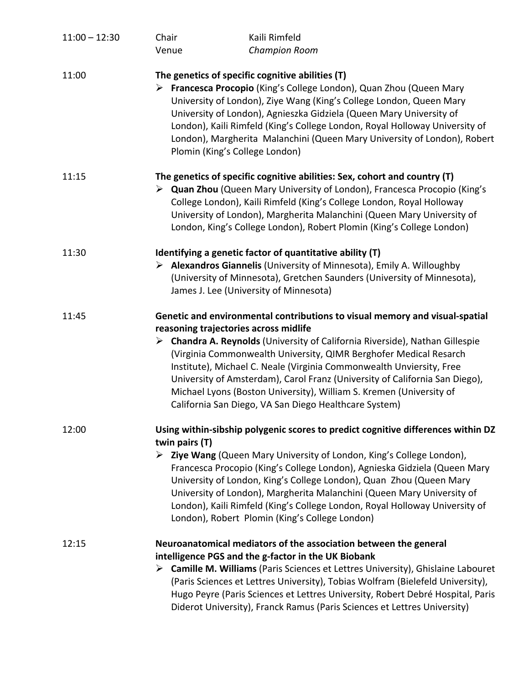| $11:00 - 12:30$ | Chair<br>Venue | Kaili Rimfeld<br><b>Champion Room</b>                                                                                                                                                                                                                                                                                                                                                                                                                                                                                                                                           |
|-----------------|----------------|---------------------------------------------------------------------------------------------------------------------------------------------------------------------------------------------------------------------------------------------------------------------------------------------------------------------------------------------------------------------------------------------------------------------------------------------------------------------------------------------------------------------------------------------------------------------------------|
| 11:00           |                | The genetics of specific cognitive abilities (T)<br>> Francesca Procopio (King's College London), Quan Zhou (Queen Mary<br>University of London), Ziye Wang (King's College London, Queen Mary<br>University of London), Agnieszka Gidziela (Queen Mary University of<br>London), Kaili Rimfeld (King's College London, Royal Holloway University of<br>London), Margherita Malanchini (Queen Mary University of London), Robert<br>Plomin (King's College London)                                                                                                              |
| 11:15           |                | The genetics of specific cognitive abilities: Sex, cohort and country (T)<br>> Quan Zhou (Queen Mary University of London), Francesca Procopio (King's<br>College London), Kaili Rimfeld (King's College London, Royal Holloway<br>University of London), Margherita Malanchini (Queen Mary University of<br>London, King's College London), Robert Plomin (King's College London)                                                                                                                                                                                              |
| 11:30           |                | Identifying a genetic factor of quantitative ability (T)<br>$\triangleright$ Alexandros Giannelis (University of Minnesota), Emily A. Willoughby<br>(University of Minnesota), Gretchen Saunders (University of Minnesota),<br>James J. Lee (University of Minnesota)                                                                                                                                                                                                                                                                                                           |
| 11:45           |                | Genetic and environmental contributions to visual memory and visual-spatial<br>reasoning trajectories across midlife<br>$\triangleright$ Chandra A. Reynolds (University of California Riverside), Nathan Gillespie<br>(Virginia Commonwealth University, QIMR Berghofer Medical Resarch<br>Institute), Michael C. Neale (Virginia Commonwealth Unviersity, Free<br>University of Amsterdam), Carol Franz (University of California San Diego),<br>Michael Lyons (Boston University), William S. Kremen (University of<br>California San Diego, VA San Diego Healthcare System) |
| 12:00           | twin pairs (T) | Using within-sibship polygenic scores to predict cognitive differences within DZ<br>$\triangleright$ Ziye Wang (Queen Mary University of London, King's College London),<br>Francesca Procopio (King's College London), Agnieska Gidziela (Queen Mary<br>University of London, King's College London), Quan Zhou (Queen Mary<br>University of London), Margherita Malanchini (Queen Mary University of<br>London), Kaili Rimfeld (King's College London, Royal Holloway University of<br>London), Robert Plomin (King's College London)                                         |
| 12:15           |                | Neuroanatomical mediators of the association between the general<br>intelligence PGS and the g-factor in the UK Biobank<br>> Camille M. Williams (Paris Sciences et Lettres University), Ghislaine Labouret<br>(Paris Sciences et Lettres University), Tobias Wolfram (Bielefeld University),<br>Hugo Peyre (Paris Sciences et Lettres University, Robert Debré Hospital, Paris<br>Diderot University), Franck Ramus (Paris Sciences et Lettres University)                                                                                                                     |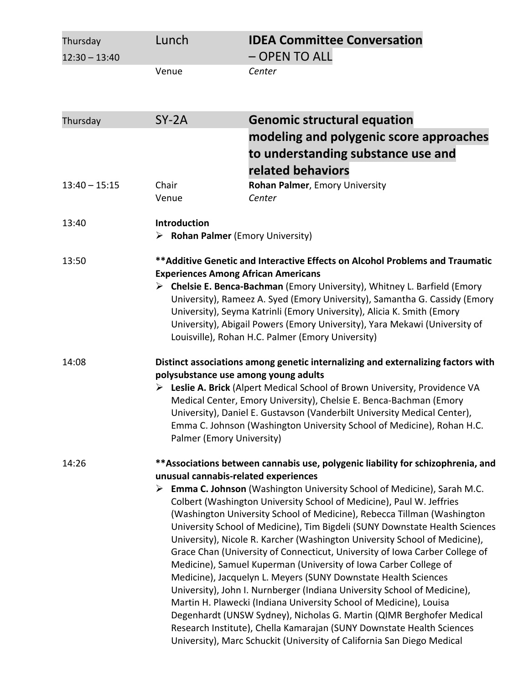| Thursday<br>$12:30 - 13:40$ | Lunch                                                                   | <b>IDEA Committee Conversation</b><br>- OPEN TO ALL                                                                                                                                                                                                                                                                                                                                                                                                                                                                                                                                                                                                                                                                                                                                                                                                                                                                                                                                                                                                                                |
|-----------------------------|-------------------------------------------------------------------------|------------------------------------------------------------------------------------------------------------------------------------------------------------------------------------------------------------------------------------------------------------------------------------------------------------------------------------------------------------------------------------------------------------------------------------------------------------------------------------------------------------------------------------------------------------------------------------------------------------------------------------------------------------------------------------------------------------------------------------------------------------------------------------------------------------------------------------------------------------------------------------------------------------------------------------------------------------------------------------------------------------------------------------------------------------------------------------|
|                             | Venue                                                                   | Center                                                                                                                                                                                                                                                                                                                                                                                                                                                                                                                                                                                                                                                                                                                                                                                                                                                                                                                                                                                                                                                                             |
| Thursday                    | $SY-2A$                                                                 | <b>Genomic structural equation</b>                                                                                                                                                                                                                                                                                                                                                                                                                                                                                                                                                                                                                                                                                                                                                                                                                                                                                                                                                                                                                                                 |
|                             |                                                                         | modeling and polygenic score approaches<br>to understanding substance use and<br>related behaviors                                                                                                                                                                                                                                                                                                                                                                                                                                                                                                                                                                                                                                                                                                                                                                                                                                                                                                                                                                                 |
| $13:40 - 15:15$             | Chair<br>Venue                                                          | Rohan Palmer, Emory University<br>Center                                                                                                                                                                                                                                                                                                                                                                                                                                                                                                                                                                                                                                                                                                                                                                                                                                                                                                                                                                                                                                           |
| 13:40                       | <b>Introduction</b><br>$\triangleright$ Rohan Palmer (Emory University) |                                                                                                                                                                                                                                                                                                                                                                                                                                                                                                                                                                                                                                                                                                                                                                                                                                                                                                                                                                                                                                                                                    |
| 13:50                       | <b>Experiences Among African Americans</b>                              | ** Additive Genetic and Interactive Effects on Alcohol Problems and Traumatic<br>> Chelsie E. Benca-Bachman (Emory University), Whitney L. Barfield (Emory<br>University), Rameez A. Syed (Emory University), Samantha G. Cassidy (Emory<br>University), Seyma Katrinli (Emory University), Alicia K. Smith (Emory<br>University), Abigail Powers (Emory University), Yara Mekawi (University of<br>Louisville), Rohan H.C. Palmer (Emory University)                                                                                                                                                                                                                                                                                                                                                                                                                                                                                                                                                                                                                              |
| 14:08                       | polysubstance use among young adults<br>Palmer (Emory University)       | Distinct associations among genetic internalizing and externalizing factors with<br>Explie A. Brick (Alpert Medical School of Brown University, Providence VA<br>Medical Center, Emory University), Chelsie E. Benca-Bachman (Emory<br>University), Daniel E. Gustavson (Vanderbilt University Medical Center),<br>Emma C. Johnson (Washington University School of Medicine), Rohan H.C.                                                                                                                                                                                                                                                                                                                                                                                                                                                                                                                                                                                                                                                                                          |
| 14:26                       | unusual cannabis-related experiences                                    | **Associations between cannabis use, polygenic liability for schizophrenia, and<br><b>Emma C. Johnson</b> (Washington University School of Medicine), Sarah M.C.<br>Colbert (Washington University School of Medicine), Paul W. Jeffries<br>(Washington University School of Medicine), Rebecca Tillman (Washington<br>University School of Medicine), Tim Bigdeli (SUNY Downstate Health Sciences<br>University), Nicole R. Karcher (Washington University School of Medicine),<br>Grace Chan (University of Connecticut, University of Iowa Carber College of<br>Medicine), Samuel Kuperman (University of Iowa Carber College of<br>Medicine), Jacquelyn L. Meyers (SUNY Downstate Health Sciences<br>University), John I. Nurnberger (Indiana University School of Medicine),<br>Martin H. Plawecki (Indiana University School of Medicine), Louisa<br>Degenhardt (UNSW Sydney), Nicholas G. Martin (QIMR Berghofer Medical<br>Research Institute), Chella Kamarajan (SUNY Downstate Health Sciences<br>University), Marc Schuckit (University of California San Diego Medical |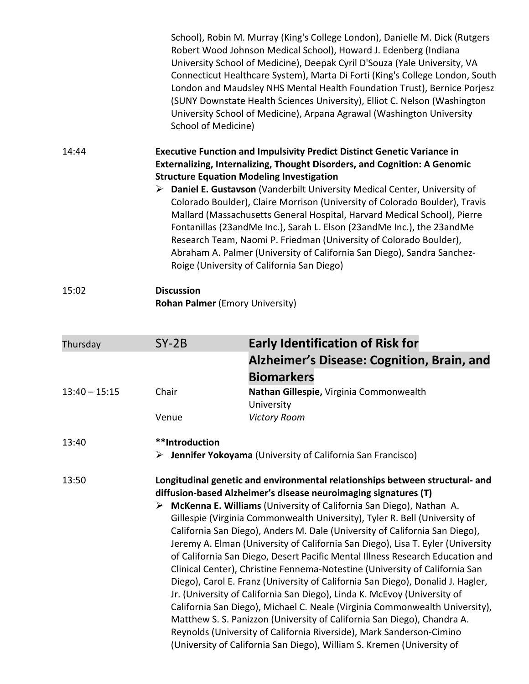|       | School), Robin M. Murray (King's College London), Danielle M. Dick (Rutgers<br>Robert Wood Johnson Medical School), Howard J. Edenberg (Indiana<br>University School of Medicine), Deepak Cyril D'Souza (Yale University, VA<br>Connecticut Healthcare System), Marta Di Forti (King's College London, South<br>London and Maudsley NHS Mental Health Foundation Trust), Bernice Porjesz<br>(SUNY Downstate Health Sciences University), Elliot C. Nelson (Washington<br>University School of Medicine), Arpana Agrawal (Washington University<br>School of Medicine)                                                                                                                                                                                  |
|-------|--------------------------------------------------------------------------------------------------------------------------------------------------------------------------------------------------------------------------------------------------------------------------------------------------------------------------------------------------------------------------------------------------------------------------------------------------------------------------------------------------------------------------------------------------------------------------------------------------------------------------------------------------------------------------------------------------------------------------------------------------------|
| 14:44 | <b>Executive Function and Impulsivity Predict Distinct Genetic Variance in</b><br>Externalizing, Internalizing, Thought Disorders, and Cognition: A Genomic<br><b>Structure Equation Modeling Investigation</b><br>$\triangleright$ Daniel E. Gustavson (Vanderbilt University Medical Center, University of<br>Colorado Boulder), Claire Morrison (University of Colorado Boulder), Travis<br>Mallard (Massachusetts General Hospital, Harvard Medical School), Pierre<br>Fontanillas (23 and Me Inc.), Sarah L. Elson (23 and Me Inc.), the 23 and Me<br>Research Team, Naomi P. Friedman (University of Colorado Boulder),<br>Abraham A. Palmer (University of California San Diego), Sandra Sanchez-<br>Roige (University of California San Diego) |
| 15:02 | <b>Discussion</b>                                                                                                                                                                                                                                                                                                                                                                                                                                                                                                                                                                                                                                                                                                                                      |

**Rohan Palmer** (Emory University)

| Thursday        | $SY-2B$                                                                                                                                                                                                                                                                                                                                                                                                                                                                                                                                                                                                                                                                                                                                                                                                                                                                                                                                                                                                                                                                                                                | <b>Early Identification of Risk for</b>                                     |
|-----------------|------------------------------------------------------------------------------------------------------------------------------------------------------------------------------------------------------------------------------------------------------------------------------------------------------------------------------------------------------------------------------------------------------------------------------------------------------------------------------------------------------------------------------------------------------------------------------------------------------------------------------------------------------------------------------------------------------------------------------------------------------------------------------------------------------------------------------------------------------------------------------------------------------------------------------------------------------------------------------------------------------------------------------------------------------------------------------------------------------------------------|-----------------------------------------------------------------------------|
|                 |                                                                                                                                                                                                                                                                                                                                                                                                                                                                                                                                                                                                                                                                                                                                                                                                                                                                                                                                                                                                                                                                                                                        | Alzheimer's Disease: Cognition, Brain, and                                  |
|                 |                                                                                                                                                                                                                                                                                                                                                                                                                                                                                                                                                                                                                                                                                                                                                                                                                                                                                                                                                                                                                                                                                                                        | <b>Biomarkers</b>                                                           |
| $13:40 - 15:15$ | Chair                                                                                                                                                                                                                                                                                                                                                                                                                                                                                                                                                                                                                                                                                                                                                                                                                                                                                                                                                                                                                                                                                                                  | Nathan Gillespie, Virginia Commonwealth<br>University                       |
|                 | Venue                                                                                                                                                                                                                                                                                                                                                                                                                                                                                                                                                                                                                                                                                                                                                                                                                                                                                                                                                                                                                                                                                                                  | <b>Victory Room</b>                                                         |
| 13:40           | **Introduction                                                                                                                                                                                                                                                                                                                                                                                                                                                                                                                                                                                                                                                                                                                                                                                                                                                                                                                                                                                                                                                                                                         | $\triangleright$ Jennifer Yokoyama (University of California San Francisco) |
| 13:50           | Longitudinal genetic and environmental relationships between structural- and<br>diffusion-based Alzheimer's disease neuroimaging signatures (T)<br>McKenna E. Williams (University of California San Diego), Nathan A.<br>➤<br>Gillespie (Virginia Commonwealth University), Tyler R. Bell (University of<br>California San Diego), Anders M. Dale (University of California San Diego),<br>Jeremy A. Elman (University of California San Diego), Lisa T. Eyler (University<br>of California San Diego, Desert Pacific Mental Illness Research Education and<br>Clinical Center), Christine Fennema-Notestine (University of California San<br>Diego), Carol E. Franz (University of California San Diego), Donalid J. Hagler,<br>Jr. (University of California San Diego), Linda K. McEvoy (University of<br>California San Diego), Michael C. Neale (Virginia Commonwealth University),<br>Matthew S. S. Panizzon (University of California San Diego), Chandra A.<br>Reynolds (University of California Riverside), Mark Sanderson-Cimino<br>(University of California San Diego), William S. Kremen (University of |                                                                             |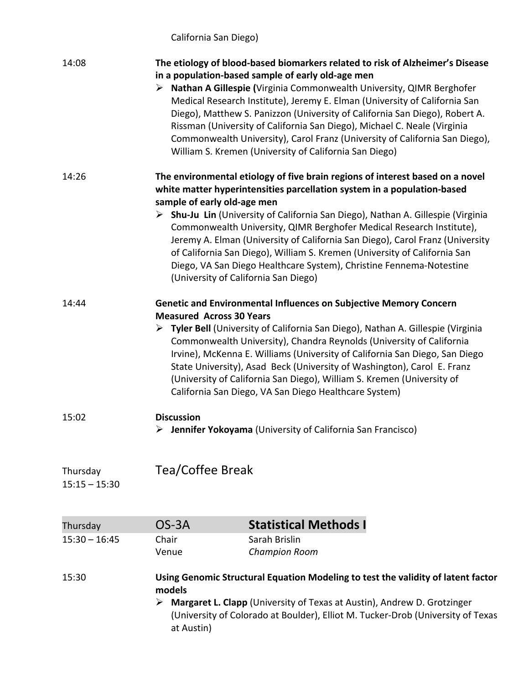California San Diego)

| 14:08                       | The etiology of blood-based biomarkers related to risk of Alzheimer's Disease<br>in a population-based sample of early old-age men<br>> Nathan A Gillespie (Virginia Commonwealth University, QIMR Berghofer<br>Medical Research Institute), Jeremy E. Elman (University of California San<br>Diego), Matthew S. Panizzon (University of California San Diego), Robert A.<br>Rissman (University of California San Diego), Michael C. Neale (Virginia<br>Commonwealth University), Carol Franz (University of California San Diego),<br>William S. Kremen (University of California San Diego)                                   |                                                                             |  |
|-----------------------------|----------------------------------------------------------------------------------------------------------------------------------------------------------------------------------------------------------------------------------------------------------------------------------------------------------------------------------------------------------------------------------------------------------------------------------------------------------------------------------------------------------------------------------------------------------------------------------------------------------------------------------|-----------------------------------------------------------------------------|--|
| 14:26                       | The environmental etiology of five brain regions of interest based on a novel<br>white matter hyperintensities parcellation system in a population-based<br>sample of early old-age men<br>> Shu-Ju Lin (University of California San Diego), Nathan A. Gillespie (Virginia<br>Commonwealth University, QIMR Berghofer Medical Research Institute),<br>Jeremy A. Elman (University of California San Diego), Carol Franz (University<br>of California San Diego), William S. Kremen (University of California San<br>Diego, VA San Diego Healthcare System), Christine Fennema-Notestine<br>(University of California San Diego) |                                                                             |  |
| 14:44                       | <b>Genetic and Environmental Influences on Subjective Memory Concern</b><br><b>Measured Across 30 Years</b><br>▶ Tyler Bell (University of California San Diego), Nathan A. Gillespie (Virginia<br>Commonwealth University), Chandra Reynolds (University of California<br>Irvine), McKenna E. Williams (University of California San Diego, San Diego<br>State University), Asad Beck (University of Washington), Carol E. Franz<br>(University of California San Diego), William S. Kremen (University of<br>California San Diego, VA San Diego Healthcare System)                                                             |                                                                             |  |
| 15:02                       | <b>Discussion</b>                                                                                                                                                                                                                                                                                                                                                                                                                                                                                                                                                                                                                | $\triangleright$ Jennifer Yokoyama (University of California San Francisco) |  |
| Thursday<br>$15:15 - 15:30$ | <b>Tea/Coffee Break</b>                                                                                                                                                                                                                                                                                                                                                                                                                                                                                                                                                                                                          |                                                                             |  |
| Thursday                    | OS-3A                                                                                                                                                                                                                                                                                                                                                                                                                                                                                                                                                                                                                            | <b>Statistical Methods I</b>                                                |  |
| $15:30 - 16:45$             | Chair                                                                                                                                                                                                                                                                                                                                                                                                                                                                                                                                                                                                                            | Sarah Brislin                                                               |  |
|                             | Venue                                                                                                                                                                                                                                                                                                                                                                                                                                                                                                                                                                                                                            | <b>Champion Room</b>                                                        |  |
| 15:30                       | Using Genomic Structural Equation Modeling to test the validity of latent factor<br>models<br><b>Margaret L. Clapp</b> (University of Texas at Austin), Andrew D. Grotzinger<br>➤<br>(University of Colorado at Boulder), Elliot M. Tucker-Drob (University of Texas<br>at Austin)                                                                                                                                                                                                                                                                                                                                               |                                                                             |  |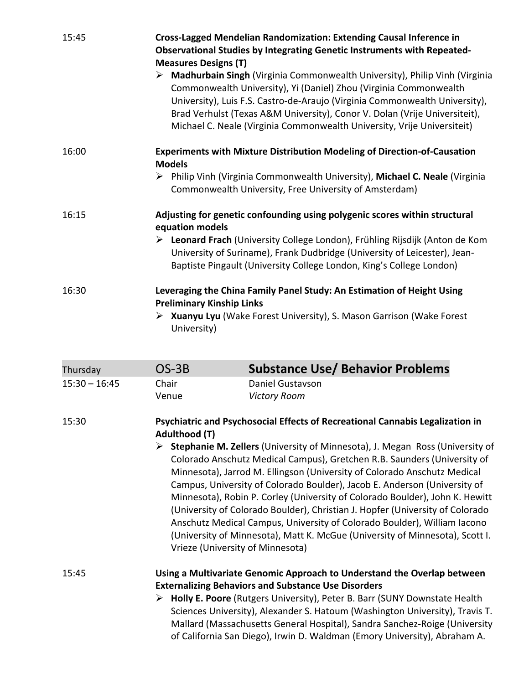| 15:45 | Cross-Lagged Mendelian Randomization: Extending Causal Inference in<br><b>Observational Studies by Integrating Genetic Instruments with Repeated-</b><br><b>Measures Designs (T)</b><br>$\triangleright$ Madhurbain Singh (Virginia Commonwealth University), Philip Vinh (Virginia<br>Commonwealth University), Yi (Daniel) Zhou (Virginia Commonwealth<br>University), Luis F.S. Castro-de-Araujo (Virginia Commonwealth University),<br>Brad Verhulst (Texas A&M University), Conor V. Dolan (Vrije Universiteit),<br>Michael C. Neale (Virginia Commonwealth University, Vrije Universiteit) |
|-------|--------------------------------------------------------------------------------------------------------------------------------------------------------------------------------------------------------------------------------------------------------------------------------------------------------------------------------------------------------------------------------------------------------------------------------------------------------------------------------------------------------------------------------------------------------------------------------------------------|
| 16:00 | Experiments with Mixture Distribution Modeling of Direction-of-Causation<br><b>Models</b><br>> Philip Vinh (Virginia Commonwealth University), Michael C. Neale (Virginia<br>Commonwealth University, Free University of Amsterdam)                                                                                                                                                                                                                                                                                                                                                              |
| 16:15 | Adjusting for genetic confounding using polygenic scores within structural<br>equation models<br>Exeonard Frach (University College London), Frühling Rijsdijk (Anton de Kom<br>University of Suriname), Frank Dudbridge (University of Leicester), Jean-<br>Baptiste Pingault (University College London, King's College London)                                                                                                                                                                                                                                                                |
| 16:30 | Leveraging the China Family Panel Study: An Estimation of Height Using<br><b>Preliminary Kinship Links</b><br>▶ Xuanyu Lyu (Wake Forest University), S. Mason Garrison (Wake Forest<br>University)                                                                                                                                                                                                                                                                                                                                                                                               |

| Thursday        | $OS-3B$                                                                                                                                                                                                                                                                                                                                                                                                                  | <b>Substance Use/ Behavior Problems</b>                                                                                                                                                                                                                                                                                                                       |  |
|-----------------|--------------------------------------------------------------------------------------------------------------------------------------------------------------------------------------------------------------------------------------------------------------------------------------------------------------------------------------------------------------------------------------------------------------------------|---------------------------------------------------------------------------------------------------------------------------------------------------------------------------------------------------------------------------------------------------------------------------------------------------------------------------------------------------------------|--|
| $15:30 - 16:45$ | Chair                                                                                                                                                                                                                                                                                                                                                                                                                    | Daniel Gustavson                                                                                                                                                                                                                                                                                                                                              |  |
|                 | Venue                                                                                                                                                                                                                                                                                                                                                                                                                    | <b>Victory Room</b>                                                                                                                                                                                                                                                                                                                                           |  |
| 15:30           | Psychiatric and Psychosocial Effects of Recreational Cannabis Legalization in<br>Adulthood (T)<br>Stephanie M. Zellers (University of Minnesota), J. Megan Ross (University of<br>➤<br>Colorado Anschutz Medical Campus), Gretchen R.B. Saunders (University of<br>Minnesota), Jarrod M. Ellingson (University of Colorado Anschutz Medical<br>Campus, University of Colorado Boulder), Jacob E. Anderson (University of |                                                                                                                                                                                                                                                                                                                                                               |  |
|                 |                                                                                                                                                                                                                                                                                                                                                                                                                          | Minnesota), Robin P. Corley (University of Colorado Boulder), John K. Hewitt<br>(University of Colorado Boulder), Christian J. Hopfer (University of Colorado<br>Anschutz Medical Campus, University of Colorado Boulder), William Iacono<br>(University of Minnesota), Matt K. McGue (University of Minnesota), Scott I.<br>Vrieze (University of Minnesota) |  |
| 15:45           |                                                                                                                                                                                                                                                                                                                                                                                                                          | Using a Multivariate Genomic Approach to Understand the Overlap between<br><b>Externalizing Behaviors and Substance Use Disorders</b>                                                                                                                                                                                                                         |  |
|                 |                                                                                                                                                                                                                                                                                                                                                                                                                          | > Holly E. Poore (Rutgers University), Peter B. Barr (SUNY Downstate Health<br>Sciences University), Alexander S. Hatoum (Washington University), Travis T.<br>Mallard (Massachusetts General Hospital), Sandra Sanchez-Roige (University<br>of California San Diego), Irwin D. Waldman (Emory University), Abraham A.                                        |  |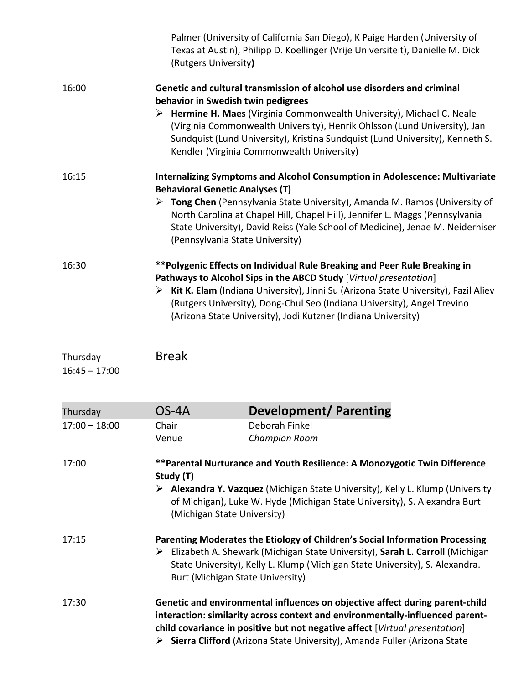|                             | (Rutgers University)                                                                                                                                                                                                                                                                                                          | Palmer (University of California San Diego), K Paige Harden (University of<br>Texas at Austin), Philipp D. Koellinger (Vrije Universiteit), Danielle M. Dick                                                                                                                                                                                                                                                     |  |  |
|-----------------------------|-------------------------------------------------------------------------------------------------------------------------------------------------------------------------------------------------------------------------------------------------------------------------------------------------------------------------------|------------------------------------------------------------------------------------------------------------------------------------------------------------------------------------------------------------------------------------------------------------------------------------------------------------------------------------------------------------------------------------------------------------------|--|--|
| 16:00                       |                                                                                                                                                                                                                                                                                                                               | Genetic and cultural transmission of alcohol use disorders and criminal<br>behavior in Swedish twin pedigrees<br>> Hermine H. Maes (Virginia Commonwealth University), Michael C. Neale<br>(Virginia Commonwealth University), Henrik Ohlsson (Lund University), Jan<br>Sundquist (Lund University), Kristina Sundquist (Lund University), Kenneth S.<br>Kendler (Virginia Commonwealth University)              |  |  |
| 16:15                       |                                                                                                                                                                                                                                                                                                                               | <b>Internalizing Symptoms and Alcohol Consumption in Adolescence: Multivariate</b><br><b>Behavioral Genetic Analyses (T)</b><br>> Tong Chen (Pennsylvania State University), Amanda M. Ramos (University of<br>North Carolina at Chapel Hill, Chapel Hill), Jennifer L. Maggs (Pennsylvania<br>State University), David Reiss (Yale School of Medicine), Jenae M. Neiderhiser<br>(Pennsylvania State University) |  |  |
| 16:30                       |                                                                                                                                                                                                                                                                                                                               | **Polygenic Effects on Individual Rule Breaking and Peer Rule Breaking in<br>Pathways to Alcohol Sips in the ABCD Study [Virtual presentation]<br>$\triangleright$ Kit K. Elam (Indiana University), Jinni Su (Arizona State University), Fazil Aliev<br>(Rutgers University), Dong-Chul Seo (Indiana University), Angel Trevino<br>(Arizona State University), Jodi Kutzner (Indiana University)                |  |  |
| Thursday<br>$16:45 - 17:00$ | <b>Break</b>                                                                                                                                                                                                                                                                                                                  |                                                                                                                                                                                                                                                                                                                                                                                                                  |  |  |
| Thursday                    | $OS-4A$                                                                                                                                                                                                                                                                                                                       | <b>Development/ Parenting</b>                                                                                                                                                                                                                                                                                                                                                                                    |  |  |
| $17:00 - 18:00$             | Chair<br>Venue                                                                                                                                                                                                                                                                                                                | Deborah Finkel<br><b>Champion Room</b>                                                                                                                                                                                                                                                                                                                                                                           |  |  |
| 17:00                       | Study (T)                                                                                                                                                                                                                                                                                                                     | **Parental Nurturance and Youth Resilience: A Monozygotic Twin Difference<br>▶ Alexandra Y. Vazquez (Michigan State University), Kelly L. Klump (University<br>of Michigan), Luke W. Hyde (Michigan State University), S. Alexandra Burt<br>(Michigan State University)                                                                                                                                          |  |  |
| 17:15                       |                                                                                                                                                                                                                                                                                                                               | Parenting Moderates the Etiology of Children's Social Information Processing<br>Elizabeth A. Shewark (Michigan State University), Sarah L. Carroll (Michigan<br>State University), Kelly L. Klump (Michigan State University), S. Alexandra.<br>Burt (Michigan State University)                                                                                                                                 |  |  |
| 17:30                       | Genetic and environmental influences on objective affect during parent-child<br>interaction: similarity across context and environmentally-influenced parent-<br>child covariance in positive but not negative affect [Virtual presentation]<br>Sierra Clifford (Arizona State University), Amanda Fuller (Arizona State<br>➤ |                                                                                                                                                                                                                                                                                                                                                                                                                  |  |  |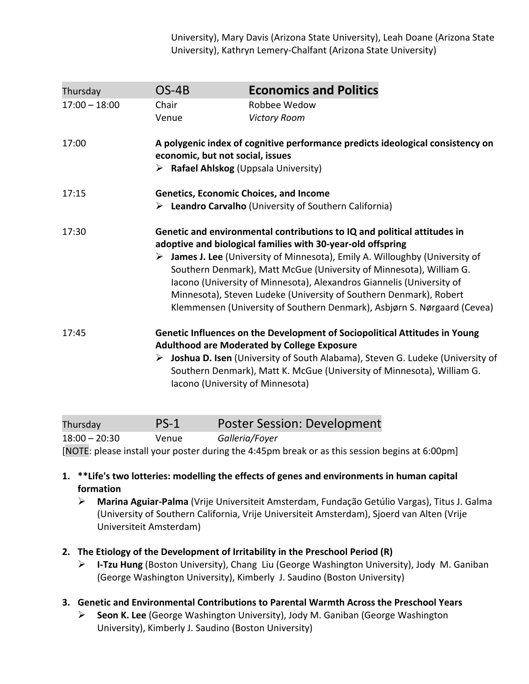University), Mary Davis (Arizona State University), Leah Doane (Arizona State University), Kathryn Lemery-Chalfant (Arizona State University)

| Thursday        | $OS-4B$                                                                                                                                                                                                                                                                                                                                                                                                                                                                                                                   | <b>Economics and Politics</b>                                                                                                                                              |
|-----------------|---------------------------------------------------------------------------------------------------------------------------------------------------------------------------------------------------------------------------------------------------------------------------------------------------------------------------------------------------------------------------------------------------------------------------------------------------------------------------------------------------------------------------|----------------------------------------------------------------------------------------------------------------------------------------------------------------------------|
| $17:00 - 18:00$ | Chair                                                                                                                                                                                                                                                                                                                                                                                                                                                                                                                     | Robbee Wedow                                                                                                                                                               |
|                 | Venue                                                                                                                                                                                                                                                                                                                                                                                                                                                                                                                     | <b>Victory Room</b>                                                                                                                                                        |
| 17:00           |                                                                                                                                                                                                                                                                                                                                                                                                                                                                                                                           | A polygenic index of cognitive performance predicts ideological consistency on<br>economic, but not social, issues<br>$\triangleright$ Rafael Ahlskog (Uppsala University) |
| 17:15           |                                                                                                                                                                                                                                                                                                                                                                                                                                                                                                                           | <b>Genetics, Economic Choices, and Income</b>                                                                                                                              |
|                 |                                                                                                                                                                                                                                                                                                                                                                                                                                                                                                                           | Eleandro Carvalho (University of Southern California)                                                                                                                      |
| 17:30           | Genetic and environmental contributions to IQ and political attitudes in<br>adoptive and biological families with 30-year-old offspring<br>> James J. Lee (University of Minnesota), Emily A. Willoughby (University of<br>Southern Denmark), Matt McGue (University of Minnesota), William G.<br>Iacono (University of Minnesota), Alexandros Giannelis (University of<br>Minnesota), Steven Ludeke (University of Southern Denmark), Robert<br>Klemmensen (University of Southern Denmark), Asbjørn S. Nørgaard (Cevea) |                                                                                                                                                                            |
| 17:45           | Genetic Influences on the Development of Sociopolitical Attitudes in Young<br><b>Adulthood are Moderated by College Exposure</b><br>> Joshua D. Isen (University of South Alabama), Steven G. Ludeke (University of<br>Southern Denmark), Matt K. McGue (University of Minnesota), William G.<br>Iacono (University of Minnesota)                                                                                                                                                                                         |                                                                                                                                                                            |
| Thursday        | $PS-1$                                                                                                                                                                                                                                                                                                                                                                                                                                                                                                                    | <b>Poster Session: Development</b>                                                                                                                                         |

18:00 – 20:30 Venue *Galleria/Foyer* 

[NOTE: please install your poster during the 4:45pm break or as this session begins at 6:00pm]

- **1. \*\*Life's two lotteries: modelling the effects of genes and environments in human capital formation** 
	- **Marina Aguiar-Palma** (Vrije Universiteit Amsterdam, Fundação Getúlio Vargas), Titus J. Galma (University of Southern California, Vrije Universiteit Amsterdam), Sjoerd van Alten (Vrije Universiteit Amsterdam)
- **2. The Etiology of the Development of Irritability in the Preschool Period (R)** 
	- **I-Tzu Hung** (Boston University), Chang Liu (George Washington University), Jody M. Ganiban (George Washington University), Kimberly J. Saudino (Boston University)
- **3. Genetic and Environmental Contributions to Parental Warmth Across the Preschool Years** 
	- **Seon K. Lee** (George Washington University), Jody M. Ganiban (George Washington University), Kimberly J. Saudino (Boston University)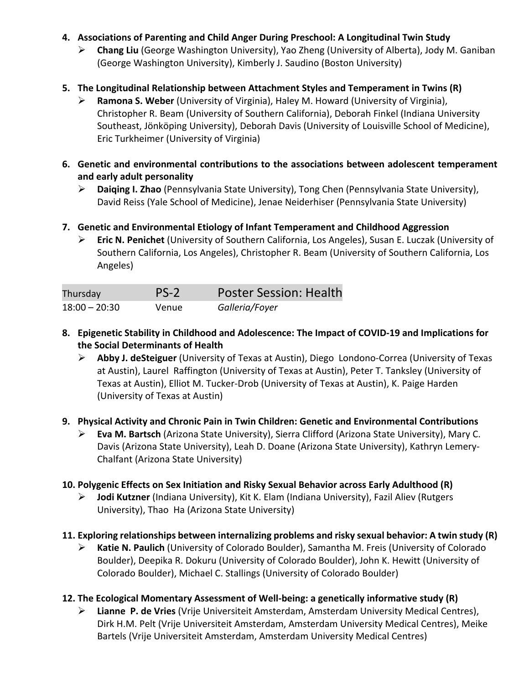- **4. Associations of Parenting and Child Anger During Preschool: A Longitudinal Twin Study** 
	- **Chang Liu** (George Washington University), Yao Zheng (University of Alberta), Jody M. Ganiban (George Washington University), Kimberly J. Saudino (Boston University)
- **5. The Longitudinal Relationship between Attachment Styles and Temperament in Twins (R)** 
	- **Ramona S. Weber** (University of Virginia), Haley M. Howard (University of Virginia), Christopher R. Beam (University of Southern California), Deborah Finkel (Indiana University Southeast, Jönköping University), Deborah Davis (University of Louisville School of Medicine), Eric Turkheimer (University of Virginia)
- **6. Genetic and environmental contributions to the associations between adolescent temperament and early adult personality** 
	- **Daiqing I. Zhao** (Pennsylvania State University), Tong Chen (Pennsylvania State University), David Reiss (Yale School of Medicine), Jenae Neiderhiser (Pennsylvania State University)
- **7. Genetic and Environmental Etiology of Infant Temperament and Childhood Aggression** 
	- **Eric N. Penichet** (University of Southern California, Los Angeles), Susan E. Luczak (University of Southern California, Los Angeles), Christopher R. Beam (University of Southern California, Los Angeles)

| Thursday        | $PS-2$ | <b>Poster Session: Health</b> |
|-----------------|--------|-------------------------------|
| $18:00 - 20:30$ | Venue  | Galleria/Foyer                |

- **8. Epigenetic Stability in Childhood and Adolescence: The Impact of COVID-19 and Implications for the Social Determinants of Health** 
	- **Abby J. deSteiguer** (University of Texas at Austin), Diego Londono-Correa (University of Texas at Austin), Laurel Raffington (University of Texas at Austin), Peter T. Tanksley (University of Texas at Austin), Elliot M. Tucker-Drob (University of Texas at Austin), K. Paige Harden (University of Texas at Austin)
- **9. Physical Activity and Chronic Pain in Twin Children: Genetic and Environmental Contributions** 
	- **Eva M. Bartsch** (Arizona State University), Sierra Clifford (Arizona State University), Mary C. Davis (Arizona State University), Leah D. Doane (Arizona State University), Kathryn Lemery-Chalfant (Arizona State University)
- **10. Polygenic Effects on Sex Initiation and Risky Sexual Behavior across Early Adulthood (R)** 
	- **Jodi Kutzner** (Indiana University), Kit K. Elam (Indiana University), Fazil Aliev (Rutgers University), Thao Ha (Arizona State University)
- **11. Exploring relationships between internalizing problems and risky sexual behavior: A twin study (R)** 
	- **Katie N. Paulich** (University of Colorado Boulder), Samantha M. Freis (University of Colorado Boulder), Deepika R. Dokuru (University of Colorado Boulder), John K. Hewitt (University of Colorado Boulder), Michael C. Stallings (University of Colorado Boulder)
- **12. The Ecological Momentary Assessment of Well-being: a genetically informative study (R)** 
	- **Lianne P. de Vries** (Vrije Universiteit Amsterdam, Amsterdam University Medical Centres), Dirk H.M. Pelt (Vrije Universiteit Amsterdam, Amsterdam University Medical Centres), Meike Bartels (Vrije Universiteit Amsterdam, Amsterdam University Medical Centres)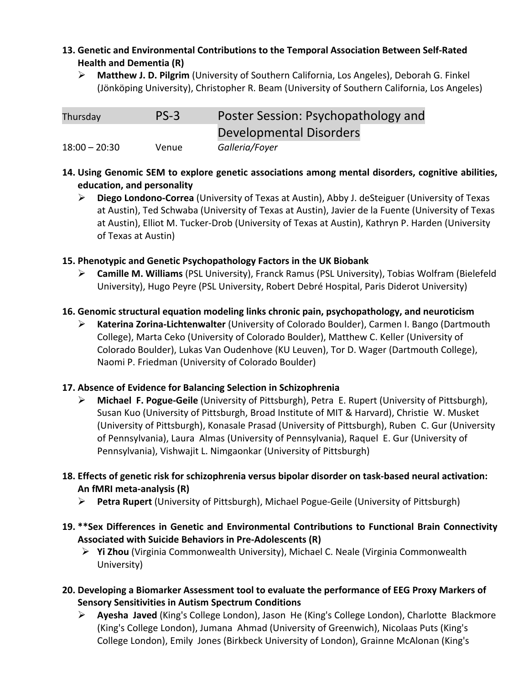#### **13. Genetic and Environmental Contributions to the Temporal Association Between Self-Rated Health and Dementia (R)**

 **Matthew J. D. Pilgrim** (University of Southern California, Los Angeles), Deborah G. Finkel (Jönköping University), Christopher R. Beam (University of Southern California, Los Angeles)

| Thursday        | $PS-3$ | Poster Session: Psychopathology and |
|-----------------|--------|-------------------------------------|
|                 |        | Developmental Disorders             |
| $18:00 - 20:30$ | Venue  | Galleria/Foyer                      |

- **14. Using Genomic SEM to explore genetic associations among mental disorders, cognitive abilities, education, and personality** 
	- **Diego Londono-Correa** (University of Texas at Austin), Abby J. deSteiguer (University of Texas at Austin), Ted Schwaba (University of Texas at Austin), Javier de la Fuente (University of Texas at Austin), Elliot M. Tucker-Drob (University of Texas at Austin), Kathryn P. Harden (University of Texas at Austin)

#### **15. Phenotypic and Genetic Psychopathology Factors in the UK Biobank**

- **Camille M. Williams** (PSL University), Franck Ramus (PSL University), Tobias Wolfram (Bielefeld University), Hugo Peyre (PSL University, Robert Debré Hospital, Paris Diderot University)
- **16. Genomic structural equation modeling links chronic pain, psychopathology, and neuroticism** 
	- **Katerina Zorina-Lichtenwalter** (University of Colorado Boulder), Carmen I. Bango (Dartmouth College), Marta Ceko (University of Colorado Boulder), Matthew C. Keller (University of Colorado Boulder), Lukas Van Oudenhove (KU Leuven), Tor D. Wager (Dartmouth College), Naomi P. Friedman (University of Colorado Boulder)

#### **17. Absence of Evidence for Balancing Selection in Schizophrenia**

- **Michael F. Pogue-Geile** (University of Pittsburgh), Petra E. Rupert (University of Pittsburgh), Susan Kuo (University of Pittsburgh, Broad Institute of MIT & Harvard), Christie W. Musket (University of Pittsburgh), Konasale Prasad (University of Pittsburgh), Ruben C. Gur (University of Pennsylvania), Laura Almas (University of Pennsylvania), Raquel E. Gur (University of Pennsylvania), Vishwajit L. Nimgaonkar (University of Pittsburgh)
- **18. Effects of genetic risk for schizophrenia versus bipolar disorder on task-based neural activation: An fMRI meta-analysis (R)** 
	- **Petra Rupert** (University of Pittsburgh), Michael Pogue-Geile (University of Pittsburgh)
- **19. \*\*Sex Differences in Genetic and Environmental Contributions to Functional Brain Connectivity Associated with Suicide Behaviors in Pre-Adolescents (R)** 
	- **Yi Zhou** (Virginia Commonwealth University), Michael C. Neale (Virginia Commonwealth University)
- **20. Developing a Biomarker Assessment tool to evaluate the performance of EEG Proxy Markers of Sensory Sensitivities in Autism Spectrum Conditions** 
	- **Ayesha Javed** (King's College London), Jason He (King's College London), Charlotte Blackmore (King's College London), Jumana Ahmad (University of Greenwich), Nicolaas Puts (King's College London), Emily Jones (Birkbeck University of London), Grainne McAlonan (King's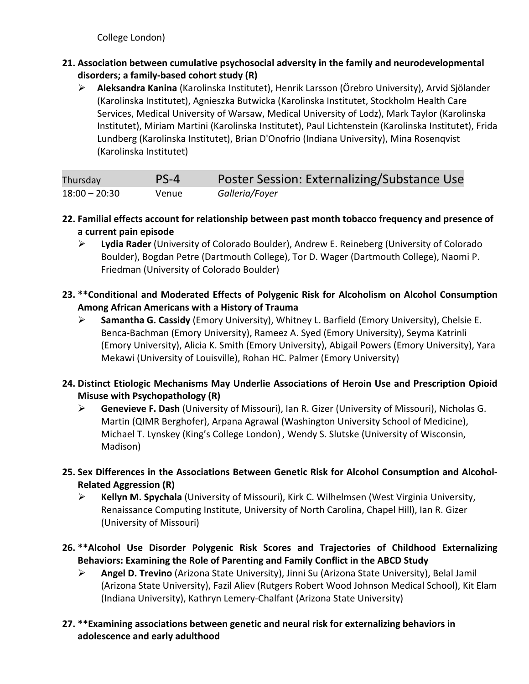College London)

- **21. Association between cumulative psychosocial adversity in the family and neurodevelopmental disorders; a family-based cohort study (R)** 
	- **Aleksandra Kanina** (Karolinska Institutet), Henrik Larsson (Örebro University), Arvid Sjölander (Karolinska Institutet), Agnieszka Butwicka (Karolinska Institutet, Stockholm Health Care Services, Medical University of Warsaw, Medical University of Lodz), Mark Taylor (Karolinska Institutet), Miriam Martini (Karolinska Institutet), Paul Lichtenstein (Karolinska Institutet), Frida Lundberg (Karolinska Institutet), Brian D'Onofrio (Indiana University), Mina Rosenqvist (Karolinska Institutet)

| Thursday        | $PS-4$ | Poster Session: Externalizing/Substance Use |
|-----------------|--------|---------------------------------------------|
| $18:00 - 20:30$ | Venue  | Galleria/Foyer                              |

- **22. Familial effects account for relationship between past month tobacco frequency and presence of a current pain episode**
	- **Lydia Rader** (University of Colorado Boulder), Andrew E. Reineberg (University of Colorado Boulder), Bogdan Petre (Dartmouth College), Tor D. Wager (Dartmouth College), Naomi P. Friedman (University of Colorado Boulder)
- **23. \*\*Conditional and Moderated Effects of Polygenic Risk for Alcoholism on Alcohol Consumption Among African Americans with a History of Trauma** 
	- **Samantha G. Cassidy** (Emory University), Whitney L. Barfield (Emory University), Chelsie E. Benca-Bachman (Emory University), Rameez A. Syed (Emory University), Seyma Katrinli (Emory University), Alicia K. Smith (Emory University), Abigail Powers (Emory University), Yara Mekawi (University of Louisville), Rohan HC. Palmer (Emory University)
- **24. Distinct Etiologic Mechanisms May Underlie Associations of Heroin Use and Prescription Opioid Misuse with Psychopathology (R)** 
	- **Genevieve F. Dash** (University of Missouri), Ian R. Gizer (University of Missouri), Nicholas G. Martin (QIMR Berghofer), Arpana Agrawal (Washington University School of Medicine), Michael T. Lynskey (King's College London) , Wendy S. Slutske (University of Wisconsin, Madison)
- **25. Sex Differences in the Associations Between Genetic Risk for Alcohol Consumption and Alcohol-Related Aggression (R)** 
	- **Kellyn M. Spychala** (University of Missouri), Kirk C. Wilhelmsen (West Virginia University, Renaissance Computing Institute, University of North Carolina, Chapel Hill), Ian R. Gizer (University of Missouri)
- **26. \*\*Alcohol Use Disorder Polygenic Risk Scores and Trajectories of Childhood Externalizing Behaviors: Examining the Role of Parenting and Family Conflict in the ABCD Study** 
	- **Angel D. Trevino** (Arizona State University), Jinni Su (Arizona State University), Belal Jamil (Arizona State University), Fazil Aliev (Rutgers Robert Wood Johnson Medical School), Kit Elam (Indiana University), Kathryn Lemery-Chalfant (Arizona State University)
- **27. \*\*Examining associations between genetic and neural risk for externalizing behaviors in adolescence and early adulthood**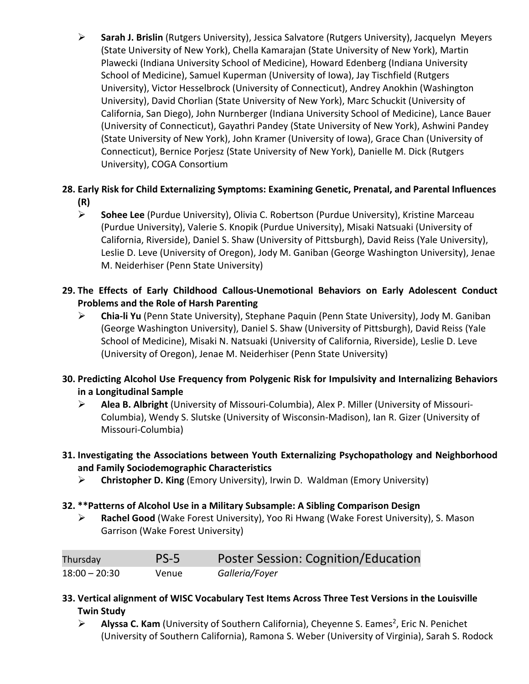**Sarah J. Brislin** (Rutgers University), Jessica Salvatore (Rutgers University), Jacquelyn Meyers (State University of New York), Chella Kamarajan (State University of New York), Martin Plawecki (Indiana University School of Medicine), Howard Edenberg (Indiana University School of Medicine), Samuel Kuperman (University of Iowa), Jay Tischfield (Rutgers University), Victor Hesselbrock (University of Connecticut), Andrey Anokhin (Washington University), David Chorlian (State University of New York), Marc Schuckit (University of California, San Diego), John Nurnberger (Indiana University School of Medicine), Lance Bauer (University of Connecticut), Gayathri Pandey (State University of New York), Ashwini Pandey (State University of New York), John Kramer (University of Iowa), Grace Chan (University of Connecticut), Bernice Porjesz (State University of New York), Danielle M. Dick (Rutgers University), COGA Consortium

#### **28. Early Risk for Child Externalizing Symptoms: Examining Genetic, Prenatal, and Parental Influences (R)**

- **Sohee Lee** (Purdue University), Olivia C. Robertson (Purdue University), Kristine Marceau (Purdue University), Valerie S. Knopik (Purdue University), Misaki Natsuaki (University of California, Riverside), Daniel S. Shaw (University of Pittsburgh), David Reiss (Yale University), Leslie D. Leve (University of Oregon), Jody M. Ganiban (George Washington University), Jenae M. Neiderhiser (Penn State University)
- **29. The Effects of Early Childhood Callous-Unemotional Behaviors on Early Adolescent Conduct Problems and the Role of Harsh Parenting** 
	- **Chia-li Yu** (Penn State University), Stephane Paquin (Penn State University), Jody M. Ganiban (George Washington University), Daniel S. Shaw (University of Pittsburgh), David Reiss (Yale School of Medicine), Misaki N. Natsuaki (University of California, Riverside), Leslie D. Leve (University of Oregon), Jenae M. Neiderhiser (Penn State University)
- **30. Predicting Alcohol Use Frequency from Polygenic Risk for Impulsivity and Internalizing Behaviors in a Longitudinal Sample** 
	- **Alea B. Albright** (University of Missouri-Columbia), Alex P. Miller (University of Missouri-Columbia), Wendy S. Slutske (University of Wisconsin-Madison), Ian R. Gizer (University of Missouri-Columbia)
- **31. Investigating the Associations between Youth Externalizing Psychopathology and Neighborhood and Family Sociodemographic Characteristics** 
	- **Christopher D. King** (Emory University), Irwin D. Waldman (Emory University)

#### **32. \*\*Patterns of Alcohol Use in a Military Subsample: A Sibling Comparison Design**

 **Rachel Good** (Wake Forest University), Yoo Ri Hwang (Wake Forest University), S. Mason Garrison (Wake Forest University)

| Thursday        | $PS-5$ | <b>Poster Session: Cognition/Education</b> |
|-----------------|--------|--------------------------------------------|
| $18:00 - 20:30$ | Venue  | Galleria/Foyer                             |

- **33. Vertical alignment of WISC Vocabulary Test Items Across Three Test Versions in the Louisville Twin Study**
	- > Alyssa C. Kam (University of Southern California), Cheyenne S. Eames<sup>2</sup>, Eric N. Penichet (University of Southern California), Ramona S. Weber (University of Virginia), Sarah S. Rodock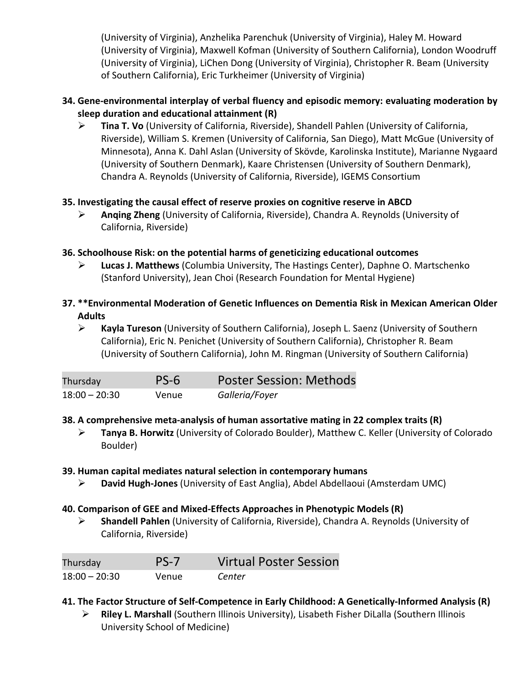(University of Virginia), Anzhelika Parenchuk (University of Virginia), Haley M. Howard (University of Virginia), Maxwell Kofman (University of Southern California), London Woodruff (University of Virginia), LiChen Dong (University of Virginia), Christopher R. Beam (University of Southern California), Eric Turkheimer (University of Virginia)

#### **34. Gene-environmental interplay of verbal fluency and episodic memory: evaluating moderation by sleep duration and educational attainment (R)**

 **Tina T. Vo** (University of California, Riverside), Shandell Pahlen (University of California, Riverside), William S. Kremen (University of California, San Diego), Matt McGue (University of Minnesota), Anna K. Dahl Aslan (University of Skövde, Karolinska Institute), Marianne Nygaard (University of Southern Denmark), Kaare Christensen (University of Southern Denmark), Chandra A. Reynolds (University of California, Riverside), IGEMS Consortium

#### **35. Investigating the causal effect of reserve proxies on cognitive reserve in ABCD**

 **Anqing Zheng** (University of California, Riverside), Chandra A. Reynolds (University of California, Riverside)

#### **36. Schoolhouse Risk: on the potential harms of geneticizing educational outcomes**

- **Lucas J. Matthews** (Columbia University, The Hastings Center), Daphne O. Martschenko (Stanford University), Jean Choi (Research Foundation for Mental Hygiene)
- **37. \*\*Environmental Moderation of Genetic Influences on Dementia Risk in Mexican American Older Adults** 
	- **Kayla Tureson** (University of Southern California), Joseph L. Saenz (University of Southern California), Eric N. Penichet (University of Southern California), Christopher R. Beam (University of Southern California), John M. Ringman (University of Southern California)

| Thursday        | PS-6  | <b>Poster Session: Methods</b> |
|-----------------|-------|--------------------------------|
| $18:00 - 20:30$ | Venue | Galleria/Foyer                 |

#### **38. A comprehensive meta-analysis of human assortative mating in 22 complex traits (R)**

 **Tanya B. Horwitz** (University of Colorado Boulder), Matthew C. Keller (University of Colorado Boulder)

#### **39. Human capital mediates natural selection in contemporary humans**

**David Hugh-Jones** (University of East Anglia), Abdel Abdellaoui (Amsterdam UMC)

#### **40. Comparison of GEE and Mixed-Effects Approaches in Phenotypic Models (R)**

 **Shandell Pahlen** (University of California, Riverside), Chandra A. Reynolds (University of California, Riverside)

| Thursday        | PS-7  | <b>Virtual Poster Session</b> |
|-----------------|-------|-------------------------------|
| $18:00 - 20:30$ | Venue | Center                        |

#### **41. The Factor Structure of Self-Competence in Early Childhood: A Genetically-Informed Analysis (R)**

 **Riley L. Marshall** (Southern Illinois University), Lisabeth Fisher DiLalla (Southern Illinois University School of Medicine)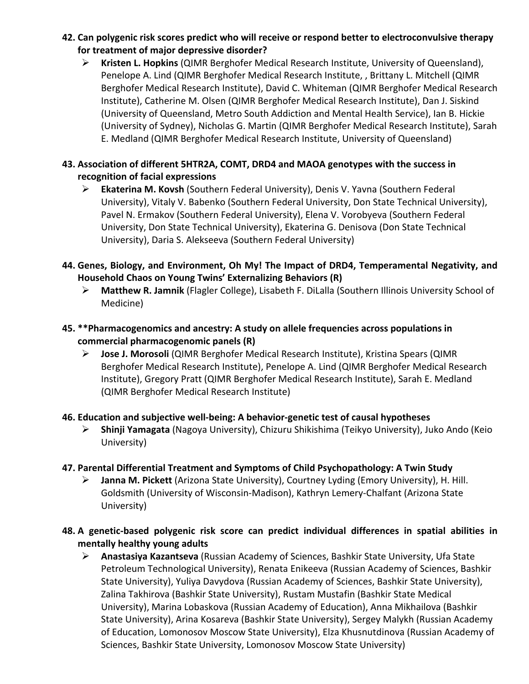- **42. Can polygenic risk scores predict who will receive or respond better to electroconvulsive therapy for treatment of major depressive disorder?** 
	- **Kristen L. Hopkins** (QIMR Berghofer Medical Research Institute, University of Queensland), Penelope A. Lind (QIMR Berghofer Medical Research Institute, , Brittany L. Mitchell (QIMR Berghofer Medical Research Institute), David C. Whiteman (QIMR Berghofer Medical Research Institute), Catherine M. Olsen (QIMR Berghofer Medical Research Institute), Dan J. Siskind (University of Queensland, Metro South Addiction and Mental Health Service), Ian B. Hickie (University of Sydney), Nicholas G. Martin (QIMR Berghofer Medical Research Institute), Sarah E. Medland (QIMR Berghofer Medical Research Institute, University of Queensland)

#### **43. Association of different 5HTR2A, COMT, DRD4 and MAOA genotypes with the success in recognition of facial expressions**

 **Ekaterina M. Kovsh** (Southern Federal University), Denis V. Yavna (Southern Federal University), Vitaly V. Babenko (Southern Federal University, Don State Technical University), Pavel N. Ermakov (Southern Federal University), Elena V. Vorobyeva (Southern Federal University, Don State Technical University), Ekaterina G. Denisova (Don State Technical University), Daria S. Alekseeva (Southern Federal University)

#### **44. Genes, Biology, and Environment, Oh My! The Impact of DRD4, Temperamental Negativity, and Household Chaos on Young Twins' Externalizing Behaviors (R)**

 **Matthew R. Jamnik** (Flagler College), Lisabeth F. DiLalla (Southern Illinois University School of Medicine)

#### **45. \*\*Pharmacogenomics and ancestry: A study on allele frequencies across populations in commercial pharmacogenomic panels (R)**

 **Jose J. Morosoli** (QIMR Berghofer Medical Research Institute), Kristina Spears (QIMR Berghofer Medical Research Institute), Penelope A. Lind (QIMR Berghofer Medical Research Institute), Gregory Pratt (QIMR Berghofer Medical Research Institute), Sarah E. Medland (QIMR Berghofer Medical Research Institute)

#### **46. Education and subjective well-being: A behavior-genetic test of causal hypotheses**

 **Shinji Yamagata** (Nagoya University), Chizuru Shikishima (Teikyo University), Juko Ando (Keio University)

#### **47. Parental Differential Treatment and Symptoms of Child Psychopathology: A Twin Study**

 **Janna M. Pickett** (Arizona State University), Courtney Lyding (Emory University), H. Hill. Goldsmith (University of Wisconsin-Madison), Kathryn Lemery-Chalfant (Arizona State University)

#### **48. A genetic-based polygenic risk score can predict individual differences in spatial abilities in mentally healthy young adults**

 **Anastasiya Kazantseva** (Russian Academy of Sciences, Bashkir State University, Ufa State Petroleum Technological University), Renata Enikeeva (Russian Academy of Sciences, Bashkir State University), Yuliya Davydova (Russian Academy of Sciences, Bashkir State University), Zalina Takhirova (Bashkir State University), Rustam Mustafin (Bashkir State Medical University), Marina Lobaskova (Russian Academy of Education), Anna Mikhailova (Bashkir State University), Arina Kosareva (Bashkir State University), Sergey Malykh (Russian Academy of Education, Lomonosov Moscow State University), Elza Khusnutdinova (Russian Academy of Sciences, Bashkir State University, Lomonosov Moscow State University)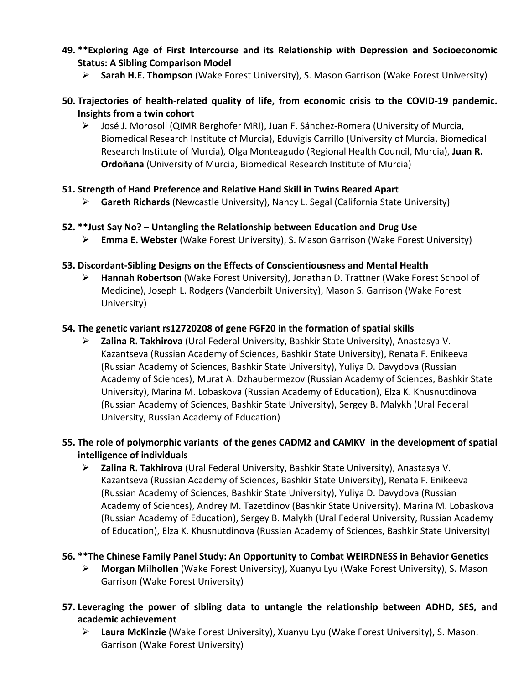- **49. \*\*Exploring Age of First Intercourse and its Relationship with Depression and Socioeconomic Status: A Sibling Comparison Model** 
	- **Sarah H.E. Thompson** (Wake Forest University), S. Mason Garrison (Wake Forest University)
- **50. Trajectories of health-related quality of life, from economic crisis to the COVID-19 pandemic. Insights from a twin cohort** 
	- José J. Morosoli (QIMR Berghofer MRI), Juan F. Sánchez-Romera (University of Murcia, Biomedical Research Institute of Murcia), Eduvigis Carrillo (University of Murcia, Biomedical Research Institute of Murcia), Olga Monteagudo (Regional Health Council, Murcia), **Juan R. Ordoñana** (University of Murcia, Biomedical Research Institute of Murcia)
- **51. Strength of Hand Preference and Relative Hand Skill in Twins Reared Apart** 
	- **Gareth Richards** (Newcastle University), Nancy L. Segal (California State University)
- **52. \*\*Just Say No? Untangling the Relationship between Education and Drug Use** 
	- **Emma E. Webster** (Wake Forest University), S. Mason Garrison (Wake Forest University)
- **53. Discordant-Sibling Designs on the Effects of Conscientiousness and Mental Health** 
	- **Hannah Robertson** (Wake Forest University), Jonathan D. Trattner (Wake Forest School of Medicine), Joseph L. Rodgers (Vanderbilt University), Mason S. Garrison (Wake Forest University)

#### **54. The genetic variant rs12720208 of gene FGF20 in the formation of spatial skills**

- **Zalina R. Takhirova** (Ural Federal University, Bashkir State University), Anastasya V. Kazantseva (Russian Academy of Sciences, Bashkir State University), Renata F. Enikeeva (Russian Academy of Sciences, Bashkir State University), Yuliya D. Davydova (Russian Academy of Sciences), Murat A. Dzhaubermezov (Russian Academy of Sciences, Bashkir State University), Marina M. Lobaskova (Russian Academy of Education), Elza K. Khusnutdinova (Russian Academy of Sciences, Bashkir State University), Sergey B. Malykh (Ural Federal University, Russian Academy of Education)
- **55. The role of polymorphic variants of the genes CADM2 and CAMKV in the development of spatial intelligence of individuals** 
	- **Zalina R. Takhirova** (Ural Federal University, Bashkir State University), Anastasya V. Kazantseva (Russian Academy of Sciences, Bashkir State University), Renata F. Enikeeva (Russian Academy of Sciences, Bashkir State University), Yuliya D. Davydova (Russian Academy of Sciences), Andrey M. Tazetdinov (Bashkir State University), Marina M. Lobaskova (Russian Academy of Education), Sergey B. Malykh (Ural Federal University, Russian Academy of Education), Elza K. Khusnutdinova (Russian Academy of Sciences, Bashkir State University)

#### **56. \*\*The Chinese Family Panel Study: An Opportunity to Combat WEIRDNESS in Behavior Genetics**

- **Morgan Milhollen** (Wake Forest University), Xuanyu Lyu (Wake Forest University), S. Mason Garrison (Wake Forest University)
- **57. Leveraging the power of sibling data to untangle the relationship between ADHD, SES, and academic achievement** 
	- **Laura McKinzie** (Wake Forest University), Xuanyu Lyu (Wake Forest University), S. Mason. Garrison (Wake Forest University)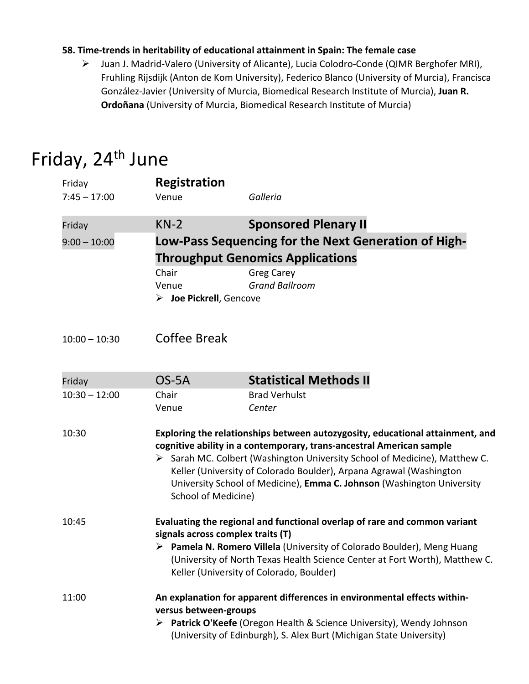#### **58. Time-trends in heritability of educational attainment in Spain: The female case**

 Juan J. Madrid-Valero (University of Alicante), Lucia Colodro-Conde (QIMR Berghofer MRI), Fruhling Rijsdijk (Anton de Kom University), Federico Blanco (University of Murcia), Francisca González-Javier (University of Murcia, Biomedical Research Institute of Murcia), **Juan R. Ordoñana** (University of Murcia, Biomedical Research Institute of Murcia)

### Friday, 24<sup>th</sup> June

| Friday          | <b>Registration</b>                                                                                                                                                                                                                                                                                                                                                                                         |                                                                                                 |  |
|-----------------|-------------------------------------------------------------------------------------------------------------------------------------------------------------------------------------------------------------------------------------------------------------------------------------------------------------------------------------------------------------------------------------------------------------|-------------------------------------------------------------------------------------------------|--|
| $7:45 - 17:00$  | Venue                                                                                                                                                                                                                                                                                                                                                                                                       | Galleria                                                                                        |  |
| Friday          | $KN-2$                                                                                                                                                                                                                                                                                                                                                                                                      | <b>Sponsored Plenary II</b>                                                                     |  |
| $9:00 - 10:00$  |                                                                                                                                                                                                                                                                                                                                                                                                             | Low-Pass Sequencing for the Next Generation of High-<br><b>Throughput Genomics Applications</b> |  |
|                 | Chair<br>Venue<br>$\triangleright$ Joe Pickrell, Gencove                                                                                                                                                                                                                                                                                                                                                    | <b>Greg Carey</b><br><b>Grand Ballroom</b>                                                      |  |
| $10:00 - 10:30$ | Coffee Break                                                                                                                                                                                                                                                                                                                                                                                                |                                                                                                 |  |
| Friday          | OS-5A                                                                                                                                                                                                                                                                                                                                                                                                       | <b>Statistical Methods II</b>                                                                   |  |
| $10:30 - 12:00$ | Chair<br>Venue                                                                                                                                                                                                                                                                                                                                                                                              | <b>Brad Verhulst</b><br>Center                                                                  |  |
| 10:30           | Exploring the relationships between autozygosity, educational attainment, and<br>cognitive ability in a contemporary, trans-ancestral American sample<br>> Sarah MC. Colbert (Washington University School of Medicine), Matthew C.<br>Keller (University of Colorado Boulder), Arpana Agrawal (Washington<br>University School of Medicine), Emma C. Johnson (Washington University<br>School of Medicine) |                                                                                                 |  |
| 10:45           | Evaluating the regional and functional overlap of rare and common variant<br>signals across complex traits (T)<br>Pamela N. Romero Villela (University of Colorado Boulder), Meng Huang<br>(University of North Texas Health Science Center at Fort Worth), Matthew C.<br>Keller (University of Colorado, Boulder)                                                                                          |                                                                                                 |  |
| 11:00           | An explanation for apparent differences in environmental effects within-<br>versus between-groups<br>> Patrick O'Keefe (Oregon Health & Science University), Wendy Johnson<br>(University of Edinburgh), S. Alex Burt (Michigan State University)                                                                                                                                                           |                                                                                                 |  |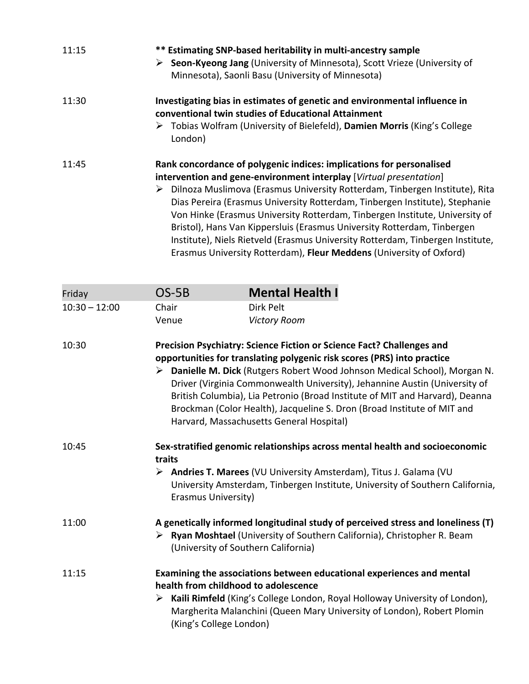| 11:15 | ** Estimating SNP-based heritability in multi-ancestry sample<br>▶ Seon-Kyeong Jang (University of Minnesota), Scott Vrieze (University of<br>Minnesota), Saonli Basu (University of Minnesota)                                                                                                                                                                                                                                                                                                                                                                                                                                  |
|-------|----------------------------------------------------------------------------------------------------------------------------------------------------------------------------------------------------------------------------------------------------------------------------------------------------------------------------------------------------------------------------------------------------------------------------------------------------------------------------------------------------------------------------------------------------------------------------------------------------------------------------------|
| 11:30 | Investigating bias in estimates of genetic and environmental influence in<br>conventional twin studies of Educational Attainment<br>▶ Tobias Wolfram (University of Bielefeld), Damien Morris (King's College<br>London)                                                                                                                                                                                                                                                                                                                                                                                                         |
| 11:45 | Rank concordance of polygenic indices: implications for personalised<br>intervention and gene-environment interplay [Virtual presentation]<br>Dilnoza Muslimova (Erasmus University Rotterdam, Tinbergen Institute), Rita<br>➤<br>Dias Pereira (Erasmus University Rotterdam, Tinbergen Institute), Stephanie<br>Von Hinke (Erasmus University Rotterdam, Tinbergen Institute, University of<br>Bristol), Hans Van Kippersluis (Erasmus University Rotterdam, Tinbergen<br>Institute), Niels Rietveld (Erasmus University Rotterdam, Tinbergen Institute,<br>Erasmus University Rotterdam), Fleur Meddens (University of Oxford) |

| Friday          | $OS-5B$                            | <b>Mental Health I</b>                                                                                                                                                                                                                                                                                                                                                                                                                                                                                              |
|-----------------|------------------------------------|---------------------------------------------------------------------------------------------------------------------------------------------------------------------------------------------------------------------------------------------------------------------------------------------------------------------------------------------------------------------------------------------------------------------------------------------------------------------------------------------------------------------|
| $10:30 - 12:00$ | Chair                              | Dirk Pelt                                                                                                                                                                                                                                                                                                                                                                                                                                                                                                           |
|                 | Venue                              | <b>Victory Room</b>                                                                                                                                                                                                                                                                                                                                                                                                                                                                                                 |
| 10:30           |                                    | Precision Psychiatry: Science Fiction or Science Fact? Challenges and<br>opportunities for translating polygenic risk scores (PRS) into practice<br>> Danielle M. Dick (Rutgers Robert Wood Johnson Medical School), Morgan N.<br>Driver (Virginia Commonwealth University), Jehannine Austin (University of<br>British Columbia), Lia Petronio (Broad Institute of MIT and Harvard), Deanna<br>Brockman (Color Health), Jacqueline S. Dron (Broad Institute of MIT and<br>Harvard, Massachusetts General Hospital) |
| 10:45           | traits<br>➤<br>Erasmus University) | Sex-stratified genomic relationships across mental health and socioeconomic<br>Andries T. Marees (VU University Amsterdam), Titus J. Galama (VU<br>University Amsterdam, Tinbergen Institute, University of Southern California,                                                                                                                                                                                                                                                                                    |
| 11:00           |                                    | A genetically informed longitudinal study of perceived stress and loneliness (T)<br>> Ryan Moshtael (University of Southern California), Christopher R. Beam<br>(University of Southern California)                                                                                                                                                                                                                                                                                                                 |
| 11:15           | (King's College London)            | Examining the associations between educational experiences and mental<br>health from childhood to adolescence<br>Kaili Rimfeld (King's College London, Royal Holloway University of London),<br>Margherita Malanchini (Queen Mary University of London), Robert Plomin                                                                                                                                                                                                                                              |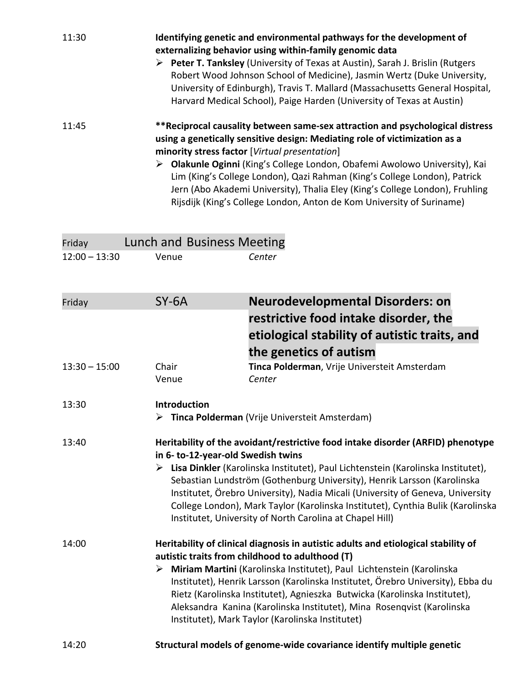| 11:30 | Identifying genetic and environmental pathways for the development of<br>externalizing behavior using within-family genomic data<br>Peter T. Tanksley (University of Texas at Austin), Sarah J. Brislin (Rutgers<br>➤<br>Robert Wood Johnson School of Medicine), Jasmin Wertz (Duke University,<br>University of Edinburgh), Travis T. Mallard (Massachusetts General Hospital,<br>Harvard Medical School), Paige Harden (University of Texas at Austin) |
|-------|-----------------------------------------------------------------------------------------------------------------------------------------------------------------------------------------------------------------------------------------------------------------------------------------------------------------------------------------------------------------------------------------------------------------------------------------------------------|
| 11:45 | **Reciprocal causality between same-sex attraction and psychological distress<br>using a genetically sensitive design: Mediating role of victimization as a<br>minority stress factor [Virtual presentation]<br>Olakunle Oginni (King's College London, Obafemi Awolowo University), Kai<br>➤                                                                                                                                                             |
|       | Lim (King's College London), Qazi Rahman (King's College London), Patrick<br>Jern (Abo Akademi University), Thalia Eley (King's College London), Fruhling<br>Rijsdijk (King's College London, Anton de Kom University of Suriname)                                                                                                                                                                                                                        |

| Friday          | Lunch and Business Meeting         |                                                                                                                                                                                                                                                                                                                                                                                                                                                                                                                 |
|-----------------|------------------------------------|-----------------------------------------------------------------------------------------------------------------------------------------------------------------------------------------------------------------------------------------------------------------------------------------------------------------------------------------------------------------------------------------------------------------------------------------------------------------------------------------------------------------|
| $12:00 - 13:30$ | Venue                              | Center                                                                                                                                                                                                                                                                                                                                                                                                                                                                                                          |
| Friday          | $SY-6A$                            | <b>Neurodevelopmental Disorders: on</b><br>restrictive food intake disorder, the<br>etiological stability of autistic traits, and<br>the genetics of autism                                                                                                                                                                                                                                                                                                                                                     |
| $13:30 - 15:00$ | Chair<br>Venue                     | Tinca Polderman, Vrije Universteit Amsterdam<br>Center                                                                                                                                                                                                                                                                                                                                                                                                                                                          |
| 13:30           | <b>Introduction</b><br>➤           | Tinca Polderman (Vrije Universteit Amsterdam)                                                                                                                                                                                                                                                                                                                                                                                                                                                                   |
| 13:40           | in 6- to-12-year-old Swedish twins | Heritability of the avoidant/restrictive food intake disorder (ARFID) phenotype<br>> Lisa Dinkler (Karolinska Institutet), Paul Lichtenstein (Karolinska Institutet),<br>Sebastian Lundström (Gothenburg University), Henrik Larsson (Karolinska<br>Institutet, Örebro University), Nadia Micali (University of Geneva, University<br>College London), Mark Taylor (Karolinska Institutet), Cynthia Bulik (Karolinska<br>Institutet, University of North Carolina at Chapel Hill)                               |
| 14:00           |                                    | Heritability of clinical diagnosis in autistic adults and etiological stability of<br>autistic traits from childhood to adulthood (T)<br>> Miriam Martini (Karolinska Institutet), Paul Lichtenstein (Karolinska<br>Institutet), Henrik Larsson (Karolinska Institutet, Örebro University), Ebba du<br>Rietz (Karolinska Institutet), Agnieszka Butwicka (Karolinska Institutet),<br>Aleksandra Kanina (Karolinska Institutet), Mina Rosenqvist (Karolinska<br>Institutet), Mark Taylor (Karolinska Institutet) |
| 14:20           |                                    | Structural models of genome-wide covariance identify multiple genetic                                                                                                                                                                                                                                                                                                                                                                                                                                           |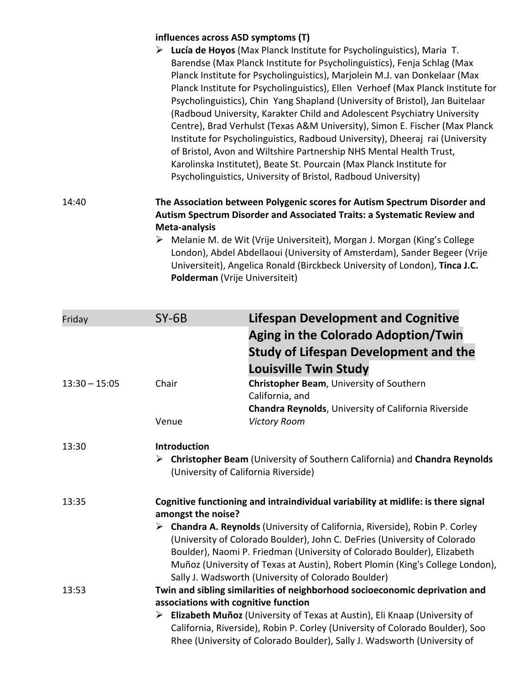#### **influences across ASD symptoms (T)**

| ➤ | Lucía de Hoyos (Max Planck Institute for Psycholinguistics), Maria T.            |
|---|----------------------------------------------------------------------------------|
|   | Barendse (Max Planck Institute for Psycholinguistics), Fenja Schlag (Max         |
|   | Planck Institute for Psycholinguistics), Marjolein M.J. van Donkelaar (Max       |
|   | Planck Institute for Psycholinguistics), Ellen Verhoef (Max Planck Institute for |
|   | Psycholinguistics), Chin Yang Shapland (University of Bristol), Jan Buitelaar    |
|   | (Radboud University, Karakter Child and Adolescent Psychiatry University         |
|   | Centre), Brad Verhulst (Texas A&M University), Simon E. Fischer (Max Planck      |
|   | Institute for Psycholinguistics, Radboud University), Dheeraj rai (University    |
|   | of Bristol, Avon and Wiltshire Partnership NHS Mental Health Trust,              |
|   | Karolinska Institutet), Beate St. Pourcain (Max Planck Institute for             |
|   | Psycholinguistics, University of Bristol, Radboud University)                    |
|   |                                                                                  |

14:40 **The Association between Polygenic scores for Autism Spectrum Disorder and Autism Spectrum Disorder and Associated Traits: a Systematic Review and Meta-analysis**

 Melanie M. de Wit (Vrije Universiteit), Morgan J. Morgan (King's College London), Abdel Abdellaoui (University of Amsterdam), Sander Begeer (Vrije Universiteit), Angelica Ronald (Birckbeck University of London), **Tinca J.C. Polderman** (Vrije Universiteit)

| Friday          | $SY-6B$                                                                   | <b>Lifespan Development and Cognitive</b>                                                                                                                                                                                                                                                                                                                                                   |  |  |  |  |
|-----------------|---------------------------------------------------------------------------|---------------------------------------------------------------------------------------------------------------------------------------------------------------------------------------------------------------------------------------------------------------------------------------------------------------------------------------------------------------------------------------------|--|--|--|--|
|                 |                                                                           | Aging in the Colorado Adoption/Twin                                                                                                                                                                                                                                                                                                                                                         |  |  |  |  |
|                 |                                                                           | <b>Study of Lifespan Development and the</b>                                                                                                                                                                                                                                                                                                                                                |  |  |  |  |
|                 |                                                                           | <b>Louisville Twin Study</b>                                                                                                                                                                                                                                                                                                                                                                |  |  |  |  |
| $13:30 - 15:05$ | Chair                                                                     | Christopher Beam, University of Southern<br>California, and                                                                                                                                                                                                                                                                                                                                 |  |  |  |  |
|                 | Venue                                                                     | Chandra Reynolds, University of California Riverside<br><b>Victory Room</b>                                                                                                                                                                                                                                                                                                                 |  |  |  |  |
| 13:30           | <b>Introduction</b>                                                       |                                                                                                                                                                                                                                                                                                                                                                                             |  |  |  |  |
|                 |                                                                           | $\triangleright$ Christopher Beam (University of Southern California) and Chandra Reynolds<br>(University of California Riverside)                                                                                                                                                                                                                                                          |  |  |  |  |
| 13:35           | amongst the noise?                                                        | Cognitive functioning and intraindividual variability at midlife: is there signal                                                                                                                                                                                                                                                                                                           |  |  |  |  |
|                 |                                                                           | $\triangleright$ Chandra A. Reynolds (University of California, Riverside), Robin P. Corley<br>(University of Colorado Boulder), John C. DeFries (University of Colorado<br>Boulder), Naomi P. Friedman (University of Colorado Boulder), Elizabeth<br>Muñoz (University of Texas at Austin), Robert Plomin (King's College London),<br>Sally J. Wadsworth (University of Colorado Boulder) |  |  |  |  |
| 13:53           |                                                                           | Twin and sibling similarities of neighborhood socioeconomic deprivation and                                                                                                                                                                                                                                                                                                                 |  |  |  |  |
|                 | associations with cognitive function                                      |                                                                                                                                                                                                                                                                                                                                                                                             |  |  |  |  |
|                 | Elizabeth Muñoz (University of Texas at Austin), Eli Knaap (University of |                                                                                                                                                                                                                                                                                                                                                                                             |  |  |  |  |
|                 |                                                                           | California, Riverside), Robin P. Corley (University of Colorado Boulder), Soo                                                                                                                                                                                                                                                                                                               |  |  |  |  |
|                 |                                                                           | Rhee (University of Colorado Boulder), Sally J. Wadsworth (University of                                                                                                                                                                                                                                                                                                                    |  |  |  |  |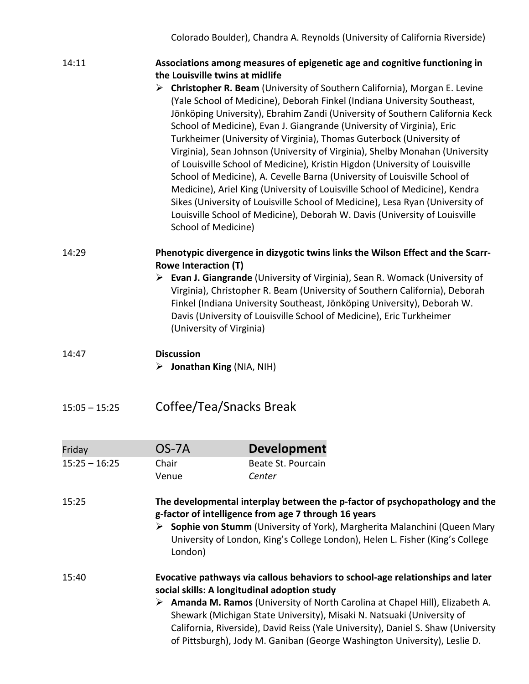| 14:11           |                                                                | Associations among measures of epigenetic age and cognitive functioning in                                                                                                                                                                                                                                                                                                                                                                                                                                                                                                                                                                                                                                                                                                                                                                                                          |
|-----------------|----------------------------------------------------------------|-------------------------------------------------------------------------------------------------------------------------------------------------------------------------------------------------------------------------------------------------------------------------------------------------------------------------------------------------------------------------------------------------------------------------------------------------------------------------------------------------------------------------------------------------------------------------------------------------------------------------------------------------------------------------------------------------------------------------------------------------------------------------------------------------------------------------------------------------------------------------------------|
|                 | the Louisville twins at midlife                                |                                                                                                                                                                                                                                                                                                                                                                                                                                                                                                                                                                                                                                                                                                                                                                                                                                                                                     |
|                 | School of Medicine)                                            | > Christopher R. Beam (University of Southern California), Morgan E. Levine<br>(Yale School of Medicine), Deborah Finkel (Indiana University Southeast,<br>Jönköping University), Ebrahim Zandi (University of Southern California Keck<br>School of Medicine), Evan J. Giangrande (University of Virginia), Eric<br>Turkheimer (University of Virginia), Thomas Guterbock (University of<br>Virginia), Sean Johnson (University of Virginia), Shelby Monahan (University<br>of Louisville School of Medicine), Kristin Higdon (University of Louisville<br>School of Medicine), A. Cevelle Barna (University of Louisville School of<br>Medicine), Ariel King (University of Louisville School of Medicine), Kendra<br>Sikes (University of Louisville School of Medicine), Lesa Ryan (University of<br>Louisville School of Medicine), Deborah W. Davis (University of Louisville |
| 14:29           | <b>Rowe Interaction (T)</b>                                    | Phenotypic divergence in dizygotic twins links the Wilson Effect and the Scarr-                                                                                                                                                                                                                                                                                                                                                                                                                                                                                                                                                                                                                                                                                                                                                                                                     |
|                 | (University of Virginia)                                       | $\triangleright$ Evan J. Giangrande (University of Virginia), Sean R. Womack (University of<br>Virginia), Christopher R. Beam (University of Southern California), Deborah<br>Finkel (Indiana University Southeast, Jönköping University), Deborah W.<br>Davis (University of Louisville School of Medicine), Eric Turkheimer                                                                                                                                                                                                                                                                                                                                                                                                                                                                                                                                                       |
| 14:47           | <b>Discussion</b><br>$\triangleright$ Jonathan King (NIA, NIH) |                                                                                                                                                                                                                                                                                                                                                                                                                                                                                                                                                                                                                                                                                                                                                                                                                                                                                     |
| $15:05 - 15:25$ | Coffee/Tea/Snacks Break                                        |                                                                                                                                                                                                                                                                                                                                                                                                                                                                                                                                                                                                                                                                                                                                                                                                                                                                                     |
| Friday          | OS-7A                                                          | <b>Development</b>                                                                                                                                                                                                                                                                                                                                                                                                                                                                                                                                                                                                                                                                                                                                                                                                                                                                  |
| $15:25 - 16:25$ | Chair                                                          | Beate St. Pourcain                                                                                                                                                                                                                                                                                                                                                                                                                                                                                                                                                                                                                                                                                                                                                                                                                                                                  |
|                 | Venue                                                          | Center                                                                                                                                                                                                                                                                                                                                                                                                                                                                                                                                                                                                                                                                                                                                                                                                                                                                              |
| 15:25           | London)                                                        | The developmental interplay between the p-factor of psychopathology and the<br>g-factor of intelligence from age 7 through 16 years<br>> Sophie von Stumm (University of York), Margherita Malanchini (Queen Mary<br>University of London, King's College London), Helen L. Fisher (King's College                                                                                                                                                                                                                                                                                                                                                                                                                                                                                                                                                                                  |
| 15:40           |                                                                | Evocative pathways via callous behaviors to school-age relationships and later<br>social skills: A longitudinal adoption study<br>> Amanda M. Ramos (University of North Carolina at Chapel Hill), Elizabeth A.<br>Shewark (Michigan State University), Misaki N. Natsuaki (University of<br>California, Riverside), David Reiss (Yale University), Daniel S. Shaw (University<br>of Pittsburgh), Jody M. Ganiban (George Washington University), Leslie D.                                                                                                                                                                                                                                                                                                                                                                                                                         |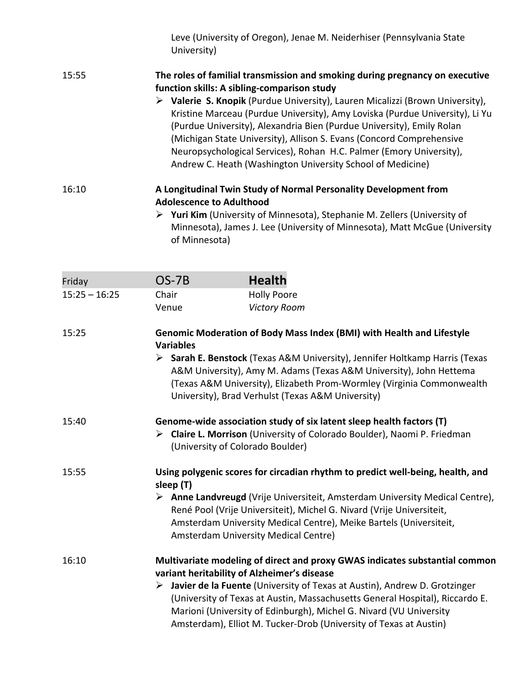Leve (University of Oregon), Jenae M. Neiderhiser (Pennsylvania State University)

#### 15:55 **The roles of familial transmission and smoking during pregnancy on executive function skills: A sibling-comparison study**

 **Valerie S. Knopik** (Purdue University), Lauren Micalizzi (Brown University), Kristine Marceau (Purdue University), Amy Loviska (Purdue University), Li Yu (Purdue University), Alexandria Bien (Purdue University), Emily Rolan (Michigan State University), Allison S. Evans (Concord Comprehensive Neuropsychological Services), Rohan H.C. Palmer (Emory University), Andrew C. Heath (Washington University School of Medicine)

#### 16:10 **A Longitudinal Twin Study of Normal Personality Development from Adolescence to Adulthood**

 **Yuri Kim** (University of Minnesota), Stephanie M. Zellers (University of Minnesota), James J. Lee (University of Minnesota), Matt McGue (University of Minnesota)

| Friday          | OS-7B | <b>Health</b>       |
|-----------------|-------|---------------------|
| $15:25 - 16:25$ | Chair | <b>Holly Poore</b>  |
|                 | Venue | <b>Victory Room</b> |

#### 15:25 **Genomic Moderation of Body Mass Index (BMI) with Health and Lifestyle Variables**

 **Sarah E. Benstock** (Texas A&M University), Jennifer Holtkamp Harris (Texas A&M University), Amy M. Adams (Texas A&M University), John Hettema (Texas A&M University), Elizabeth Prom-Wormley (Virginia Commonwealth University), Brad Verhulst (Texas A&M University)

| 15:40 | Genome-wide association study of six latent sleep health factors (T) |  |  |  |  |
|-------|----------------------------------------------------------------------|--|--|--|--|
|       |                                                                      |  |  |  |  |

 **Claire L. Morrison** (University of Colorado Boulder), Naomi P. Friedman (University of Colorado Boulder)

#### 15:55 **Using polygenic scores for circadian rhythm to predict well-being, health, and sleep (T)**

 **Anne Landvreugd** (Vrije Universiteit, Amsterdam University Medical Centre), René Pool (Vrije Universiteit), Michel G. Nivard (Vrije Universiteit, Amsterdam University Medical Centre), Meike Bartels (Universiteit, Amsterdam University Medical Centre)

#### 16:10 **Multivariate modeling of direct and proxy GWAS indicates substantial common variant heritability of Alzheimer's disease**

 **Javier de la Fuente** (University of Texas at Austin), Andrew D. Grotzinger (University of Texas at Austin, Massachusetts General Hospital), Riccardo E. Marioni (University of Edinburgh), Michel G. Nivard (VU University Amsterdam), Elliot M. Tucker-Drob (University of Texas at Austin)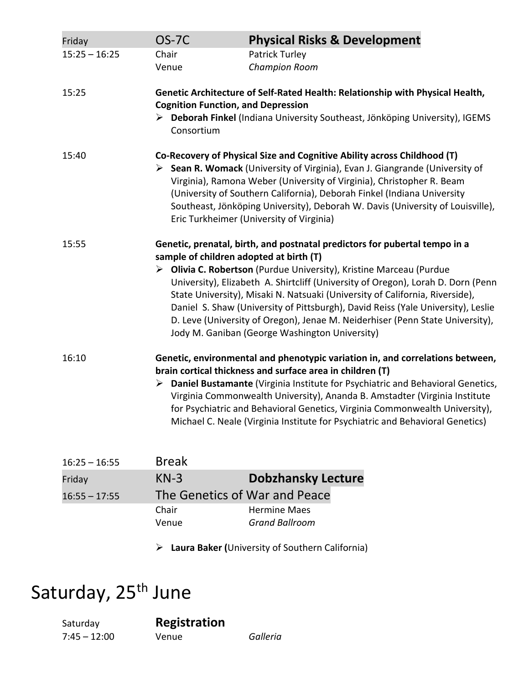| Friday          | <b>OS-7C</b>                                            | <b>Physical Risks &amp; Development</b>                                                                                                                                                                                                                                                                                                                                                                                                                                                                                                      |
|-----------------|---------------------------------------------------------|----------------------------------------------------------------------------------------------------------------------------------------------------------------------------------------------------------------------------------------------------------------------------------------------------------------------------------------------------------------------------------------------------------------------------------------------------------------------------------------------------------------------------------------------|
| $15:25 - 16:25$ | Chair<br>Venue                                          | <b>Patrick Turley</b><br><b>Champion Room</b>                                                                                                                                                                                                                                                                                                                                                                                                                                                                                                |
| 15:25           | <b>Cognition Function, and Depression</b><br>Consortium | Genetic Architecture of Self-Rated Health: Relationship with Physical Health,<br>> Deborah Finkel (Indiana University Southeast, Jönköping University), IGEMS                                                                                                                                                                                                                                                                                                                                                                                |
| 15:40           |                                                         | Co-Recovery of Physical Size and Cognitive Ability across Childhood (T)<br>▶ Sean R. Womack (University of Virginia), Evan J. Giangrande (University of<br>Virginia), Ramona Weber (University of Virginia), Christopher R. Beam<br>(University of Southern California), Deborah Finkel (Indiana University<br>Southeast, Jönköping University), Deborah W. Davis (University of Louisville),<br>Eric Turkheimer (University of Virginia)                                                                                                    |
| 15:55           | sample of children adopted at birth (T)                 | Genetic, prenatal, birth, and postnatal predictors for pubertal tempo in a<br>> Olivia C. Robertson (Purdue University), Kristine Marceau (Purdue<br>University), Elizabeth A. Shirtcliff (University of Oregon), Lorah D. Dorn (Penn<br>State University), Misaki N. Natsuaki (University of California, Riverside),<br>Daniel S. Shaw (University of Pittsburgh), David Reiss (Yale University), Leslie<br>D. Leve (University of Oregon), Jenae M. Neiderhiser (Penn State University),<br>Jody M. Ganiban (George Washington University) |
| 16:10           |                                                         | Genetic, environmental and phenotypic variation in, and correlations between,<br>brain cortical thickness and surface area in children (T)<br>Daniel Bustamante (Virginia Institute for Psychiatric and Behavioral Genetics,<br>Virginia Commonwealth University), Ananda B. Amstadter (Virginia Institute<br>for Psychiatric and Behavioral Genetics, Virginia Commonwealth University),<br>Michael C. Neale (Virginia Institute for Psychiatric and Behavioral Genetics)                                                                   |
| $16:25 - 16:55$ | <b>Break</b>                                            |                                                                                                                                                                                                                                                                                                                                                                                                                                                                                                                                              |
| Friday          | $KN-3$                                                  | <b>Dobzhansky Lecture</b>                                                                                                                                                                                                                                                                                                                                                                                                                                                                                                                    |
| $16:55 - 17:55$ | The Genetics of War and Peace                           |                                                                                                                                                                                                                                                                                                                                                                                                                                                                                                                                              |
|                 | Chair                                                   | <b>Hermine Maes</b>                                                                                                                                                                                                                                                                                                                                                                                                                                                                                                                          |
|                 | Venue                                                   | <b>Grand Ballroom</b>                                                                                                                                                                                                                                                                                                                                                                                                                                                                                                                        |
|                 |                                                         | > Laura Baker (University of Southern California)                                                                                                                                                                                                                                                                                                                                                                                                                                                                                            |

# Saturday, 25<sup>th</sup> June

7:45 – 12:00 Venue *Galleria*

Saturday **Registration**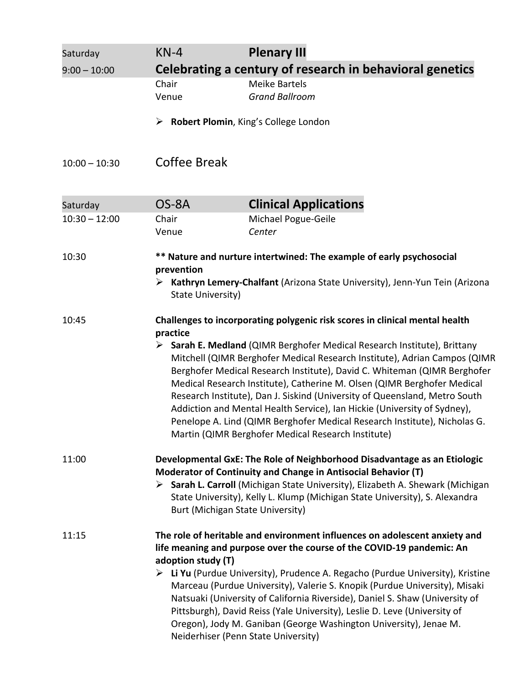| Saturday        | $KN-4$                                                                      | <b>Plenary III</b>                                                                                                                                                                                                                                                                                                                                                                                                                                                                                                                                                                                        |  |  |  |
|-----------------|-----------------------------------------------------------------------------|-----------------------------------------------------------------------------------------------------------------------------------------------------------------------------------------------------------------------------------------------------------------------------------------------------------------------------------------------------------------------------------------------------------------------------------------------------------------------------------------------------------------------------------------------------------------------------------------------------------|--|--|--|
| $9:00 - 10:00$  | Celebrating a century of research in behavioral genetics                    |                                                                                                                                                                                                                                                                                                                                                                                                                                                                                                                                                                                                           |  |  |  |
|                 | Chair<br>Venue                                                              | <b>Meike Bartels</b><br><b>Grand Ballroom</b>                                                                                                                                                                                                                                                                                                                                                                                                                                                                                                                                                             |  |  |  |
|                 | ➤                                                                           | Robert Plomin, King's College London                                                                                                                                                                                                                                                                                                                                                                                                                                                                                                                                                                      |  |  |  |
| $10:00 - 10:30$ | Coffee Break                                                                |                                                                                                                                                                                                                                                                                                                                                                                                                                                                                                                                                                                                           |  |  |  |
| Saturday        | OS-8A                                                                       | <b>Clinical Applications</b>                                                                                                                                                                                                                                                                                                                                                                                                                                                                                                                                                                              |  |  |  |
| $10:30 - 12:00$ | Chair<br>Venue                                                              | Michael Pogue-Geile<br>Center                                                                                                                                                                                                                                                                                                                                                                                                                                                                                                                                                                             |  |  |  |
| 10:30           |                                                                             | ** Nature and nurture intertwined: The example of early psychosocial                                                                                                                                                                                                                                                                                                                                                                                                                                                                                                                                      |  |  |  |
|                 | prevention<br>➤<br>State University)                                        | Kathryn Lemery-Chalfant (Arizona State University), Jenn-Yun Tein (Arizona                                                                                                                                                                                                                                                                                                                                                                                                                                                                                                                                |  |  |  |
| 10:45           | Challenges to incorporating polygenic risk scores in clinical mental health |                                                                                                                                                                                                                                                                                                                                                                                                                                                                                                                                                                                                           |  |  |  |
|                 | practice                                                                    | > Sarah E. Medland (QIMR Berghofer Medical Research Institute), Brittany<br>Mitchell (QIMR Berghofer Medical Research Institute), Adrian Campos (QIMR<br>Berghofer Medical Research Institute), David C. Whiteman (QIMR Berghofer<br>Medical Research Institute), Catherine M. Olsen (QIMR Berghofer Medical<br>Research Institute), Dan J. Siskind (University of Queensland, Metro South<br>Addiction and Mental Health Service), Ian Hickie (University of Sydney),<br>Penelope A. Lind (QIMR Berghofer Medical Research Institute), Nicholas G.<br>Martin (QIMR Berghofer Medical Research Institute) |  |  |  |
| 11:00           |                                                                             | Developmental GxE: The Role of Neighborhood Disadvantage as an Etiologic                                                                                                                                                                                                                                                                                                                                                                                                                                                                                                                                  |  |  |  |
|                 | Burt (Michigan State University)                                            | Moderator of Continuity and Change in Antisocial Behavior (T)<br>> Sarah L. Carroll (Michigan State University), Elizabeth A. Shewark (Michigan<br>State University), Kelly L. Klump (Michigan State University), S. Alexandra                                                                                                                                                                                                                                                                                                                                                                            |  |  |  |
| 11:15           |                                                                             | The role of heritable and environment influences on adolescent anxiety and                                                                                                                                                                                                                                                                                                                                                                                                                                                                                                                                |  |  |  |
|                 | life meaning and purpose over the course of the COVID-19 pandemic: An       |                                                                                                                                                                                                                                                                                                                                                                                                                                                                                                                                                                                                           |  |  |  |
|                 | adoption study (T)                                                          | ▶ Li Yu (Purdue University), Prudence A. Regacho (Purdue University), Kristine<br>Marceau (Purdue University), Valerie S. Knopik (Purdue University), Misaki<br>Natsuaki (University of California Riverside), Daniel S. Shaw (University of<br>Pittsburgh), David Reiss (Yale University), Leslie D. Leve (University of<br>Oregon), Jody M. Ganiban (George Washington University), Jenae M.<br>Neiderhiser (Penn State University)                                                                                                                                                                     |  |  |  |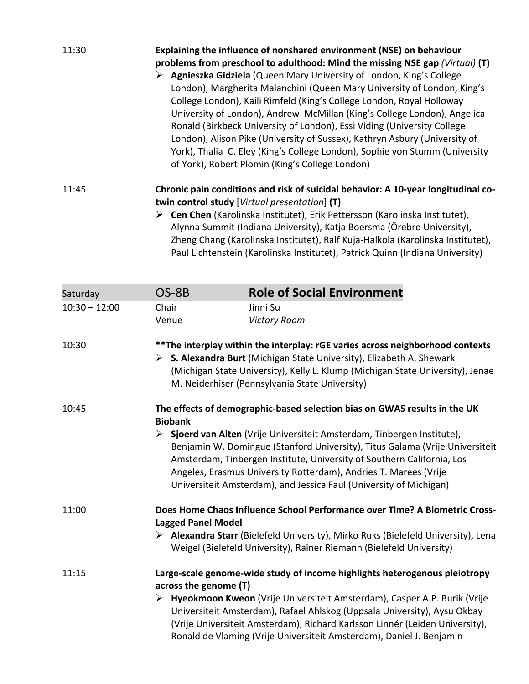| 11:30 | Explaining the influence of nonshared environment (NSE) on behaviour                        |  |  |  |  |  |
|-------|---------------------------------------------------------------------------------------------|--|--|--|--|--|
|       | problems from preschool to adulthood: Mind the missing NSE gap (Virtual) (T)                |  |  |  |  |  |
|       | Agnieszka Gidziela (Queen Mary University of London, King's College                         |  |  |  |  |  |
|       | London), Margherita Malanchini (Queen Mary University of London, King's                     |  |  |  |  |  |
|       | College London), Kaili Rimfeld (King's College London, Royal Holloway                       |  |  |  |  |  |
|       | University of London), Andrew McMillan (King's College London), Angelica                    |  |  |  |  |  |
|       | Ronald (Birkbeck University of London), Essi Viding (University College                     |  |  |  |  |  |
|       | London), Alison Pike (University of Sussex), Kathryn Asbury (University of                  |  |  |  |  |  |
|       | York), Thalia C. Eley (King's College London), Sophie von Stumm (University                 |  |  |  |  |  |
|       | of York), Robert Plomin (King's College London)                                             |  |  |  |  |  |
| 11:45 | Chronic pain conditions and risk of suicidal behavior: A 10-year longitudinal co-           |  |  |  |  |  |
|       | twin control study [Virtual presentation] (T)                                               |  |  |  |  |  |
|       | $\triangleright$ Cen Chen (Karolinska Institutet), Erik Pettersson (Karolinska Institutet), |  |  |  |  |  |
|       | Alynna Summit (Indiana University), Katja Boersma (Örebro University),                      |  |  |  |  |  |
|       | Zheng Chang (Karolinska Institutet), Ralf Kuja-Halkola (Karolinska Institutet),             |  |  |  |  |  |
|       | Paul Lichtenstein (Karolinska Institutet), Patrick Quinn (Indiana University)               |  |  |  |  |  |

| Saturday        | OS-8B                                                                                                                                                                                                                                                                                         | <b>Role of Social Environment</b>                                                                                                                                                                                                                                                                                                                                         |  |
|-----------------|-----------------------------------------------------------------------------------------------------------------------------------------------------------------------------------------------------------------------------------------------------------------------------------------------|---------------------------------------------------------------------------------------------------------------------------------------------------------------------------------------------------------------------------------------------------------------------------------------------------------------------------------------------------------------------------|--|
| $10:30 - 12:00$ | Chair                                                                                                                                                                                                                                                                                         | Jinni Su                                                                                                                                                                                                                                                                                                                                                                  |  |
|                 | Venue                                                                                                                                                                                                                                                                                         | <b>Victory Room</b>                                                                                                                                                                                                                                                                                                                                                       |  |
| 10:30           | **The interplay within the interplay: rGE varies across neighborhood contexts<br>S. Alexandra Burt (Michigan State University), Elizabeth A. Shewark<br>➤<br>(Michigan State University), Kelly L. Klump (Michigan State University), Jenae<br>M. Neiderhiser (Pennsylvania State University) |                                                                                                                                                                                                                                                                                                                                                                           |  |
| 10:45           | <b>Biobank</b>                                                                                                                                                                                                                                                                                | The effects of demographic-based selection bias on GWAS results in the UK                                                                                                                                                                                                                                                                                                 |  |
|                 | ≻                                                                                                                                                                                                                                                                                             | Sjoerd van Alten (Vrije Universiteit Amsterdam, Tinbergen Institute),<br>Benjamin W. Domingue (Stanford University), Titus Galama (Vrije Universiteit<br>Amsterdam, Tinbergen Institute, University of Southern California, Los<br>Angeles, Erasmus University Rotterdam), Andries T. Marees (Vrije<br>Universiteit Amsterdam), and Jessica Faul (University of Michigan) |  |
| 11:00           | <b>Lagged Panel Model</b>                                                                                                                                                                                                                                                                     | Does Home Chaos Influence School Performance over Time? A Biometric Cross-                                                                                                                                                                                                                                                                                                |  |
|                 |                                                                                                                                                                                                                                                                                               | ▶ Alexandra Starr (Bielefeld University), Mirko Ruks (Bielefeld University), Lena<br>Weigel (Bielefeld University), Rainer Riemann (Bielefeld University)                                                                                                                                                                                                                 |  |
| 11:15           | Large-scale genome-wide study of income highlights heterogenous pleiotropy<br>across the genome (T)                                                                                                                                                                                           |                                                                                                                                                                                                                                                                                                                                                                           |  |
|                 | ➤                                                                                                                                                                                                                                                                                             | Hyeokmoon Kweon (Vrije Universiteit Amsterdam), Casper A.P. Burik (Vrije<br>Universiteit Amsterdam), Rafael Ahlskog (Uppsala University), Aysu Okbay<br>(Vrije Universiteit Amsterdam), Richard Karlsson Linnér (Leiden University),<br>Ronald de Vlaming (Vrije Universiteit Amsterdam), Daniel J. Benjamin                                                              |  |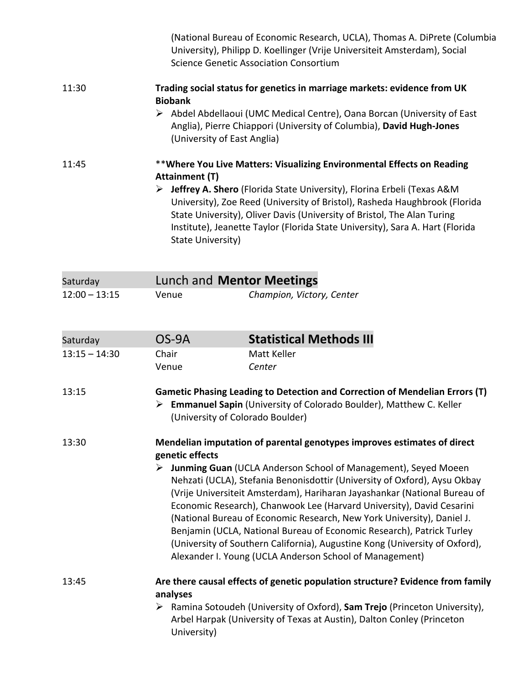|                 | (National Bureau of Economic Research, UCLA), Thomas A. DiPrete (Columbia<br>University), Philipp D. Koellinger (Vrije Universiteit Amsterdam), Social<br><b>Science Genetic Association Consortium</b>                                                                                                                                                                                                                                                                                                                                                                                          |                                                                                                                                                                                                                                                                                                                                                                                                                        |  |  |
|-----------------|--------------------------------------------------------------------------------------------------------------------------------------------------------------------------------------------------------------------------------------------------------------------------------------------------------------------------------------------------------------------------------------------------------------------------------------------------------------------------------------------------------------------------------------------------------------------------------------------------|------------------------------------------------------------------------------------------------------------------------------------------------------------------------------------------------------------------------------------------------------------------------------------------------------------------------------------------------------------------------------------------------------------------------|--|--|
| 11:30           |                                                                                                                                                                                                                                                                                                                                                                                                                                                                                                                                                                                                  | Trading social status for genetics in marriage markets: evidence from UK                                                                                                                                                                                                                                                                                                                                               |  |  |
|                 | <b>Biobank</b><br>(University of East Anglia)                                                                                                                                                                                                                                                                                                                                                                                                                                                                                                                                                    | > Abdel Abdellaoui (UMC Medical Centre), Oana Borcan (University of East<br>Anglia), Pierre Chiappori (University of Columbia), David Hugh-Jones                                                                                                                                                                                                                                                                       |  |  |
| 11:45           | <b>Attainment (T)</b><br>➤                                                                                                                                                                                                                                                                                                                                                                                                                                                                                                                                                                       | **Where You Live Matters: Visualizing Environmental Effects on Reading<br><b>Jeffrey A. Shero</b> (Florida State University), Florina Erbeli (Texas A&M<br>University), Zoe Reed (University of Bristol), Rasheda Haughbrook (Florida<br>State University), Oliver Davis (University of Bristol, The Alan Turing<br>Institute), Jeanette Taylor (Florida State University), Sara A. Hart (Florida<br>State University) |  |  |
| Saturday        |                                                                                                                                                                                                                                                                                                                                                                                                                                                                                                                                                                                                  | Lunch and Mentor Meetings                                                                                                                                                                                                                                                                                                                                                                                              |  |  |
| $12:00 - 13:15$ | Venue                                                                                                                                                                                                                                                                                                                                                                                                                                                                                                                                                                                            | Champion, Victory, Center                                                                                                                                                                                                                                                                                                                                                                                              |  |  |
| Saturday        | OS-9A                                                                                                                                                                                                                                                                                                                                                                                                                                                                                                                                                                                            | <b>Statistical Methods III</b>                                                                                                                                                                                                                                                                                                                                                                                         |  |  |
| $13:15 - 14:30$ | Chair                                                                                                                                                                                                                                                                                                                                                                                                                                                                                                                                                                                            | Matt Keller                                                                                                                                                                                                                                                                                                                                                                                                            |  |  |
|                 | Venue                                                                                                                                                                                                                                                                                                                                                                                                                                                                                                                                                                                            | Center                                                                                                                                                                                                                                                                                                                                                                                                                 |  |  |
| 13:15           | Gametic Phasing Leading to Detection and Correction of Mendelian Errors (T)<br>> Emmanuel Sapin (University of Colorado Boulder), Matthew C. Keller<br>(University of Colorado Boulder)                                                                                                                                                                                                                                                                                                                                                                                                          |                                                                                                                                                                                                                                                                                                                                                                                                                        |  |  |
| 13:30           | Mendelian imputation of parental genotypes improves estimates of direct<br>genetic effects                                                                                                                                                                                                                                                                                                                                                                                                                                                                                                       |                                                                                                                                                                                                                                                                                                                                                                                                                        |  |  |
|                 | > Junming Guan (UCLA Anderson School of Management), Seyed Moeen<br>Nehzati (UCLA), Stefania Benonisdottir (University of Oxford), Aysu Okbay<br>(Vrije Universiteit Amsterdam), Hariharan Jayashankar (National Bureau of<br>Economic Research), Chanwook Lee (Harvard University), David Cesarini<br>(National Bureau of Economic Research, New York University), Daniel J.<br>Benjamin (UCLA, National Bureau of Economic Research), Patrick Turley<br>(University of Southern California), Augustine Kong (University of Oxford),<br>Alexander I. Young (UCLA Anderson School of Management) |                                                                                                                                                                                                                                                                                                                                                                                                                        |  |  |

#### 13:45 **Are there causal effects of genetic population structure? Evidence from family analyses** Ramina Sotoudeh (University of Oxford), **Sam Trejo** (Princeton University),

Arbel Harpak (University of Texas at Austin), Dalton Conley (Princeton University)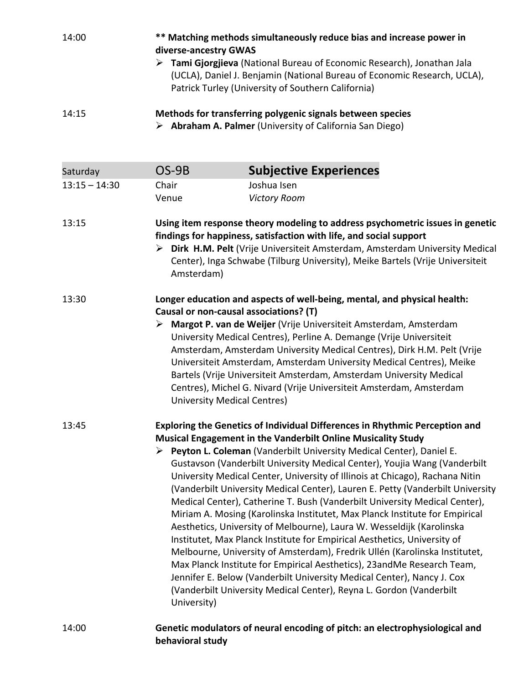| 14:00           | diverse-ancestry GWAS                                                                                                                                                                                                                                                                                                                                                                                                                                                                                                                                                                                                                                                                                   | ** Matching methods simultaneously reduce bias and increase power in                                                                                                                                      |  |
|-----------------|---------------------------------------------------------------------------------------------------------------------------------------------------------------------------------------------------------------------------------------------------------------------------------------------------------------------------------------------------------------------------------------------------------------------------------------------------------------------------------------------------------------------------------------------------------------------------------------------------------------------------------------------------------------------------------------------------------|-----------------------------------------------------------------------------------------------------------------------------------------------------------------------------------------------------------|--|
|                 |                                                                                                                                                                                                                                                                                                                                                                                                                                                                                                                                                                                                                                                                                                         | > Tami Gjorgjieva (National Bureau of Economic Research), Jonathan Jala<br>(UCLA), Daniel J. Benjamin (National Bureau of Economic Research, UCLA),<br>Patrick Turley (University of Southern California) |  |
| 14:15           | Methods for transferring polygenic signals between species<br>$\triangleright$ Abraham A. Palmer (University of California San Diego)                                                                                                                                                                                                                                                                                                                                                                                                                                                                                                                                                                   |                                                                                                                                                                                                           |  |
| Saturday        | OS-9B                                                                                                                                                                                                                                                                                                                                                                                                                                                                                                                                                                                                                                                                                                   | <b>Subjective Experiences</b>                                                                                                                                                                             |  |
| $13:15 - 14:30$ | Chair                                                                                                                                                                                                                                                                                                                                                                                                                                                                                                                                                                                                                                                                                                   | Joshua Isen                                                                                                                                                                                               |  |
|                 | Venue                                                                                                                                                                                                                                                                                                                                                                                                                                                                                                                                                                                                                                                                                                   | <b>Victory Room</b>                                                                                                                                                                                       |  |
| 13:15           | Using item response theory modeling to address psychometric issues in genetic<br>findings for happiness, satisfaction with life, and social support<br>> Dirk H.M. Pelt (Vrije Universiteit Amsterdam, Amsterdam University Medical<br>Center), Inga Schwabe (Tilburg University), Meike Bartels (Vrije Universiteit<br>Amsterdam)                                                                                                                                                                                                                                                                                                                                                                      |                                                                                                                                                                                                           |  |
| 13:30           | Longer education and aspects of well-being, mental, and physical health:<br>Causal or non-causal associations? (T)<br>> Margot P. van de Weijer (Vrije Universiteit Amsterdam, Amsterdam<br>University Medical Centres), Perline A. Demange (Vrije Universiteit<br>Amsterdam, Amsterdam University Medical Centres), Dirk H.M. Pelt (Vrije<br>Universiteit Amsterdam, Amsterdam University Medical Centres), Meike<br>Bartels (Vrije Universiteit Amsterdam, Amsterdam University Medical<br>Centres), Michel G. Nivard (Vrije Universiteit Amsterdam, Amsterdam<br><b>University Medical Centres)</b>                                                                                                  |                                                                                                                                                                                                           |  |
| 13:45           | Exploring the Genetics of Individual Differences in Rhythmic Perception and<br>Musical Engagement in the Vanderbilt Online Musicality Study<br>Peyton L. Coleman (Vanderbilt University Medical Center), Daniel E.<br>Gustavson (Vanderbilt University Medical Center), Youjia Wang (Vanderbilt<br>University Medical Center, University of Illinois at Chicago), Rachana Nitin<br>(Vanderbilt University Medical Center), Lauren E. Petty (Vanderbilt University<br>Medical Center), Catherine T. Bush (Vanderbilt University Medical Center),<br>Miriam A. Mosing (Karolinska Institutet, Max Planck Institute for Empirical<br>Aesthetics, University of Melbourne), Laura W. Wesseldijk (Karolinska |                                                                                                                                                                                                           |  |

14:00 **Genetic modulators of neural encoding of pitch: an electrophysiological and behavioral study**

University)

Institutet, Max Planck Institute for Empirical Aesthetics, University of Melbourne, University of Amsterdam), Fredrik Ullén (Karolinska Institutet, Max Planck Institute for Empirical Aesthetics), 23andMe Research Team, Jennifer E. Below (Vanderbilt University Medical Center), Nancy J. Cox (Vanderbilt University Medical Center), Reyna L. Gordon (Vanderbilt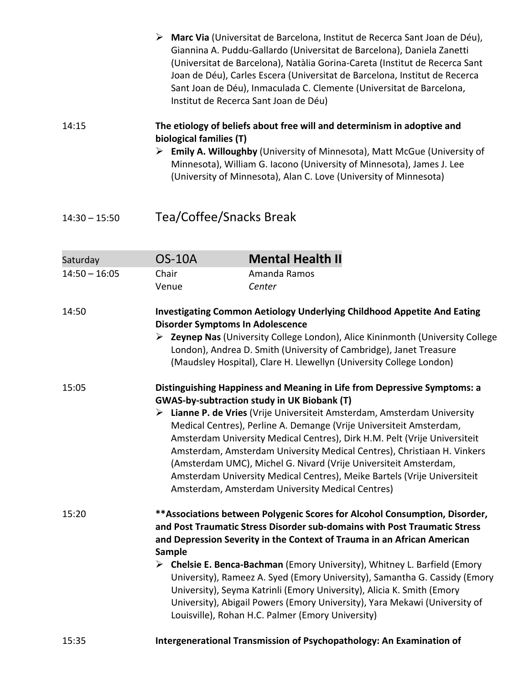|                 |                                                                                                                                                                                                                                                                                                                                                                                                                                                                                                                                                                                                                                               | Marc Via (Universitat de Barcelona, Institut de Recerca Sant Joan de Déu),<br>Giannina A. Puddu-Gallardo (Universitat de Barcelona), Daniela Zanetti<br>(Universitat de Barcelona), Natàlia Gorina-Careta (Institut de Recerca Sant<br>Joan de Déu), Carles Escera (Universitat de Barcelona, Institut de Recerca<br>Sant Joan de Déu), Inmaculada C. Clemente (Universitat de Barcelona,<br>Institut de Recerca Sant Joan de Déu) |  |
|-----------------|-----------------------------------------------------------------------------------------------------------------------------------------------------------------------------------------------------------------------------------------------------------------------------------------------------------------------------------------------------------------------------------------------------------------------------------------------------------------------------------------------------------------------------------------------------------------------------------------------------------------------------------------------|------------------------------------------------------------------------------------------------------------------------------------------------------------------------------------------------------------------------------------------------------------------------------------------------------------------------------------------------------------------------------------------------------------------------------------|--|
| 14:15           | The etiology of beliefs about free will and determinism in adoptive and<br>biological families (T)<br>> Emily A. Willoughby (University of Minnesota), Matt McGue (University of<br>Minnesota), William G. Iacono (University of Minnesota), James J. Lee<br>(University of Minnesota), Alan C. Love (University of Minnesota)                                                                                                                                                                                                                                                                                                                |                                                                                                                                                                                                                                                                                                                                                                                                                                    |  |
| $14:30 - 15:50$ | Tea/Coffee/Snacks Break                                                                                                                                                                                                                                                                                                                                                                                                                                                                                                                                                                                                                       |                                                                                                                                                                                                                                                                                                                                                                                                                                    |  |
| Saturday        | <b>OS-10A</b>                                                                                                                                                                                                                                                                                                                                                                                                                                                                                                                                                                                                                                 | <b>Mental Health II</b>                                                                                                                                                                                                                                                                                                                                                                                                            |  |
| $14:50 - 16:05$ | Chair<br>Venue                                                                                                                                                                                                                                                                                                                                                                                                                                                                                                                                                                                                                                | Amanda Ramos<br>Center                                                                                                                                                                                                                                                                                                                                                                                                             |  |
| 14:50           |                                                                                                                                                                                                                                                                                                                                                                                                                                                                                                                                                                                                                                               | <b>Investigating Common Aetiology Underlying Childhood Appetite And Eating</b><br><b>Disorder Symptoms In Adolescence</b><br>▶ Zeynep Nas (University College London), Alice Kininmonth (University College<br>London), Andrea D. Smith (University of Cambridge), Janet Treasure<br>(Maudsley Hospital), Clare H. Llewellyn (University College London)                                                                           |  |
| 15:05           | Distinguishing Happiness and Meaning in Life from Depressive Symptoms: a<br><b>GWAS-by-subtraction study in UK Biobank (T)</b><br>> Lianne P. de Vries (Vrije Universiteit Amsterdam, Amsterdam University<br>Medical Centres), Perline A. Demange (Vrije Universiteit Amsterdam,<br>Amsterdam University Medical Centres), Dirk H.M. Pelt (Vrije Universiteit<br>Amsterdam, Amsterdam University Medical Centres), Christiaan H. Vinkers<br>(Amsterdam UMC), Michel G. Nivard (Vrije Universiteit Amsterdam,<br>Amsterdam University Medical Centres), Meike Bartels (Vrije Universiteit<br>Amsterdam, Amsterdam University Medical Centres) |                                                                                                                                                                                                                                                                                                                                                                                                                                    |  |
| 15:20           | ** Associations between Polygenic Scores for Alcohol Consumption, Disorder,<br>and Post Traumatic Stress Disorder sub-domains with Post Traumatic Stress<br>and Depression Severity in the Context of Trauma in an African American<br><b>Sample</b><br>> Chelsie E. Benca-Bachman (Emory University), Whitney L. Barfield (Emory<br>University), Rameez A. Syed (Emory University), Samantha G. Cassidy (Emory<br>University), Seyma Katrinli (Emory University), Alicia K. Smith (Emory<br>University), Abigail Powers (Emory University), Yara Mekawi (University of<br>Louisville), Rohan H.C. Palmer (Emory University)                  |                                                                                                                                                                                                                                                                                                                                                                                                                                    |  |
| 15:35           |                                                                                                                                                                                                                                                                                                                                                                                                                                                                                                                                                                                                                                               | Intergenerational Transmission of Psychopathology: An Examination of                                                                                                                                                                                                                                                                                                                                                               |  |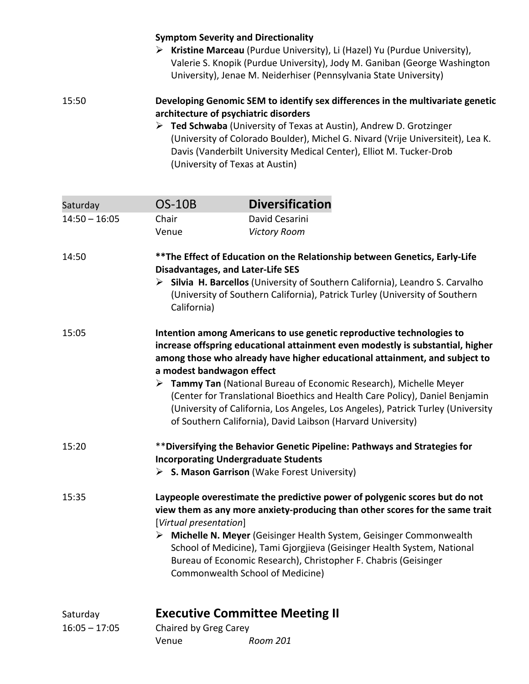#### **Symptom Severity and Directionality**

 **Kristine Marceau** (Purdue University), Li (Hazel) Yu (Purdue University), Valerie S. Knopik (Purdue University), Jody M. Ganiban (George Washington University), Jenae M. Neiderhiser (Pennsylvania State University)

#### 15:50 **Developing Genomic SEM to identify sex differences in the multivariate genetic architecture of psychiatric disorders**

 **Ted Schwaba** (University of Texas at Austin), Andrew D. Grotzinger (University of Colorado Boulder), Michel G. Nivard (Vrije Universiteit), Lea K. Davis (Vanderbilt University Medical Center), Elliot M. Tucker-Drob (University of Texas at Austin)

| Saturday                    | <b>OS-10B</b>                                                                                                                                                                                                                                                                                                                                                                                                                                                                                                                                                               | <b>Diversification</b> |  |
|-----------------------------|-----------------------------------------------------------------------------------------------------------------------------------------------------------------------------------------------------------------------------------------------------------------------------------------------------------------------------------------------------------------------------------------------------------------------------------------------------------------------------------------------------------------------------------------------------------------------------|------------------------|--|
| $14:50 - 16:05$             | Chair                                                                                                                                                                                                                                                                                                                                                                                                                                                                                                                                                                       | David Cesarini         |  |
|                             | Venue                                                                                                                                                                                                                                                                                                                                                                                                                                                                                                                                                                       | <b>Victory Room</b>    |  |
| 14:50                       | ** The Effect of Education on the Relationship between Genetics, Early-Life<br><b>Disadvantages, and Later-Life SES</b><br>> Silvia H. Barcellos (University of Southern California), Leandro S. Carvalho<br>(University of Southern California), Patrick Turley (University of Southern                                                                                                                                                                                                                                                                                    |                        |  |
|                             | California)                                                                                                                                                                                                                                                                                                                                                                                                                                                                                                                                                                 |                        |  |
| 15:05                       | Intention among Americans to use genetic reproductive technologies to<br>increase offspring educational attainment even modestly is substantial, higher<br>among those who already have higher educational attainment, and subject to<br>a modest bandwagon effect<br>> Tammy Tan (National Bureau of Economic Research), Michelle Meyer<br>(Center for Translational Bioethics and Health Care Policy), Daniel Benjamin<br>(University of California, Los Angeles, Los Angeles), Patrick Turley (University<br>of Southern California), David Laibson (Harvard University) |                        |  |
| 15:20                       | ** Diversifying the Behavior Genetic Pipeline: Pathways and Strategies for<br><b>Incorporating Undergraduate Students</b><br>> S. Mason Garrison (Wake Forest University)                                                                                                                                                                                                                                                                                                                                                                                                   |                        |  |
| 15:35                       | Laypeople overestimate the predictive power of polygenic scores but do not<br>view them as any more anxiety-producing than other scores for the same trait<br>[Virtual presentation]<br>> Michelle N. Meyer (Geisinger Health System, Geisinger Commonwealth<br>School of Medicine), Tami Gjorgjieva (Geisinger Health System, National<br>Bureau of Economic Research), Christopher F. Chabris (Geisinger<br>Commonwealth School of Medicine)                                                                                                                              |                        |  |
| Saturday<br>$16:05 - 17:05$ | <b>Executive Committee Meeting II</b><br>Chaired by Greg Carey                                                                                                                                                                                                                                                                                                                                                                                                                                                                                                              |                        |  |
|                             | Venue                                                                                                                                                                                                                                                                                                                                                                                                                                                                                                                                                                       | Room 201               |  |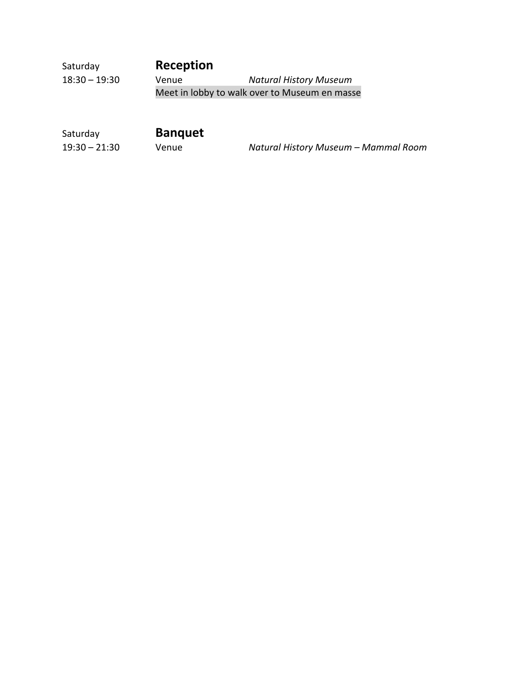| Saturday        | Reception |                                               |
|-----------------|-----------|-----------------------------------------------|
| $18:30 - 19:30$ | Venue     | <b>Natural History Museum</b>                 |
|                 |           | Meet in lobby to walk over to Museum en masse |

| Saturday        | <b>Banquet</b> |                                      |
|-----------------|----------------|--------------------------------------|
| $19:30 - 21:30$ | Venue          | Natural History Museum - Mammal Room |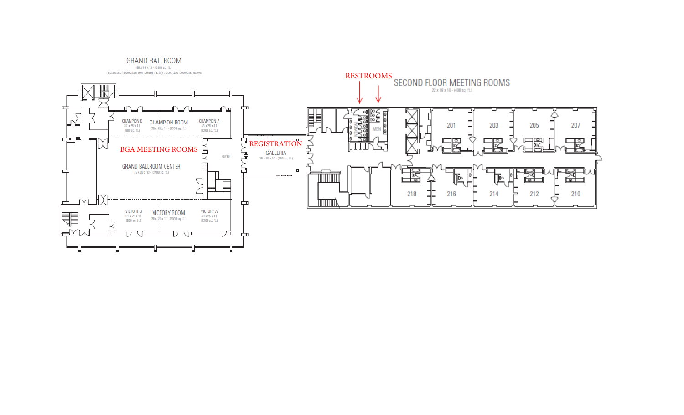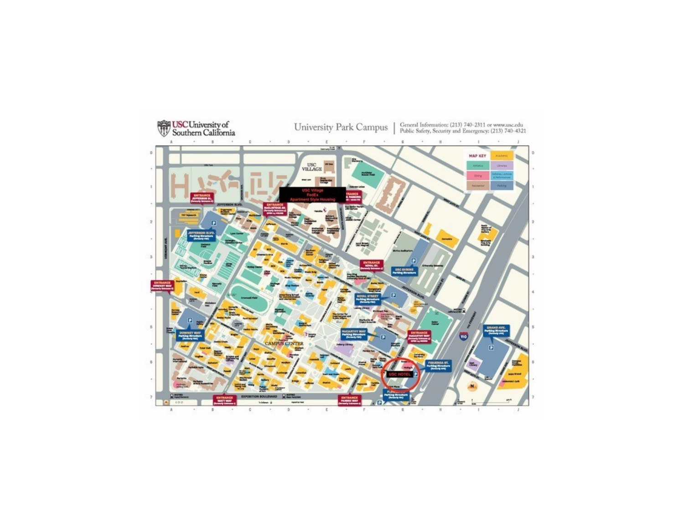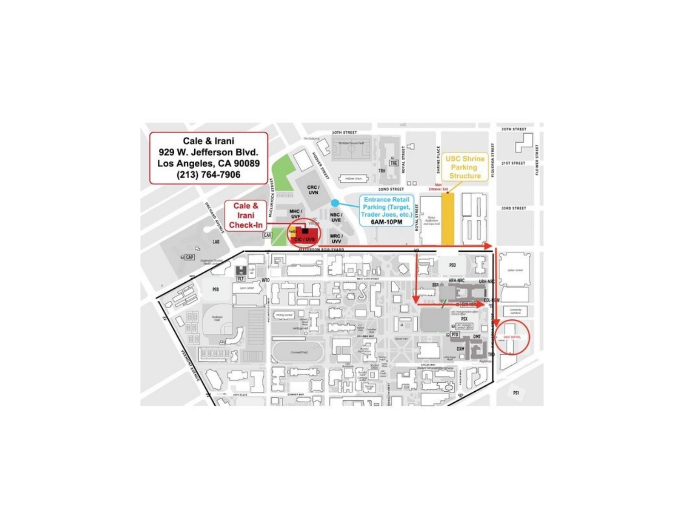